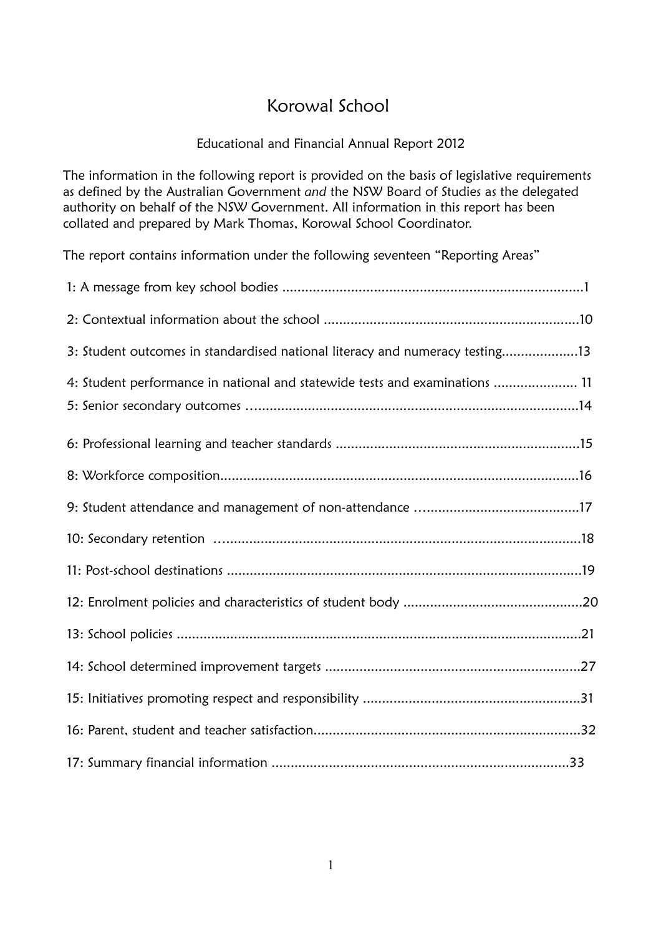# Korowal School

## Educational and Financial Annual Report 2012

The information in the following report is provided on the basis of legislative requirements as defined by the Australian Government *and* the NSW Board of Studies as the delegated authority on behalf of the NSW Government. All information in this report has been collated and prepared by Mark Thomas, Korowal School Coordinator.

The report contains information under the following seventeen "Reporting Areas"

| 3: Student outcomes in standardised national literacy and numeracy testing13 |
|------------------------------------------------------------------------------|
| 4: Student performance in national and statewide tests and examinations  11  |
|                                                                              |
|                                                                              |
|                                                                              |
|                                                                              |
|                                                                              |
|                                                                              |
|                                                                              |
|                                                                              |
|                                                                              |
|                                                                              |
|                                                                              |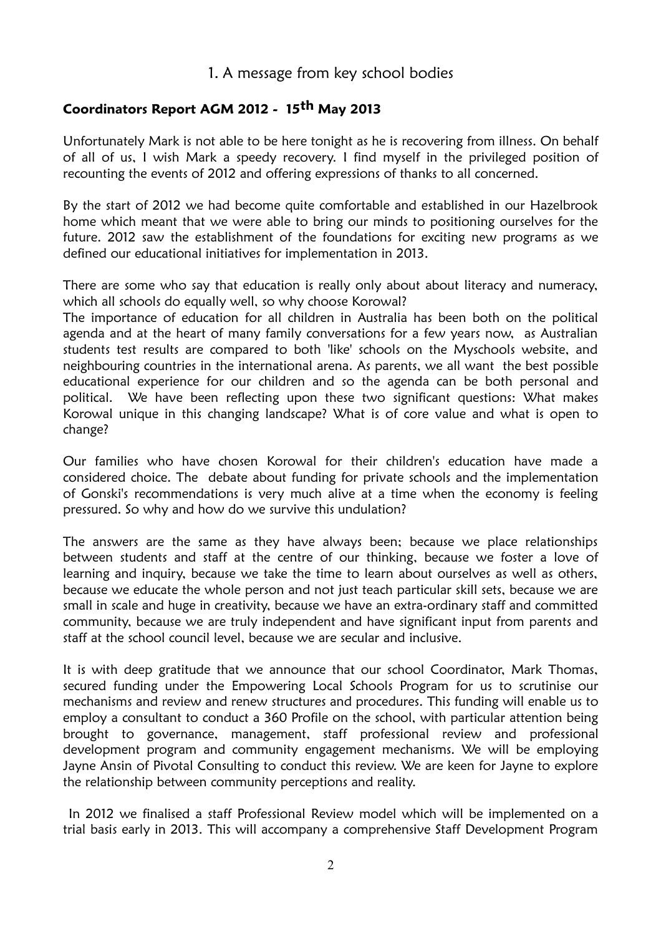## 1. A message from key school bodies

## **Coordinators Report AGM 2012 - 15th May 2013**

Unfortunately Mark is not able to be here tonight as he is recovering from illness. On behalf of all of us, I wish Mark a speedy recovery. I find myself in the privileged position of recounting the events of 2012 and offering expressions of thanks to all concerned.

By the start of 2012 we had become quite comfortable and established in our Hazelbrook home which meant that we were able to bring our minds to positioning ourselves for the future. 2012 saw the establishment of the foundations for exciting new programs as we defined our educational initiatives for implementation in 2013.

There are some who say that education is really only about about literacy and numeracy, which all schools do equally well, so why choose Korowal?

The importance of education for all children in Australia has been both on the political agenda and at the heart of many family conversations for a few years now, as Australian students test results are compared to both 'like' schools on the Myschools website, and neighbouring countries in the international arena. As parents, we all want the best possible educational experience for our children and so the agenda can be both personal and political. We have been reflecting upon these two significant questions: What makes Korowal unique in this changing landscape? What is of core value and what is open to change?

Our families who have chosen Korowal for their children's education have made a considered choice. The debate about funding for private schools and the implementation of Gonski's recommendations is very much alive at a time when the economy is feeling pressured. So why and how do we survive this undulation?

The answers are the same as they have always been; because we place relationships between students and staff at the centre of our thinking, because we foster a love of learning and inquiry, because we take the time to learn about ourselves as well as others, because we educate the whole person and not just teach particular skill sets, because we are small in scale and huge in creativity, because we have an extra-ordinary staff and committed community, because we are truly independent and have significant input from parents and staff at the school council level, because we are secular and inclusive.

It is with deep gratitude that we announce that our school Coordinator, Mark Thomas, secured funding under the Empowering Local Schools Program for us to scrutinise our mechanisms and review and renew structures and procedures. This funding will enable us to employ a consultant to conduct a 360 Profile on the school, with particular attention being brought to governance, management, staff professional review and professional development program and community engagement mechanisms. We will be employing Jayne Ansin of Pivotal Consulting to conduct this review. We are keen for Jayne to explore the relationship between community perceptions and reality.

In 2012 we finalised a staff Professional Review model which will be implemented on a trial basis early in 2013. This will accompany a comprehensive Staff Development Program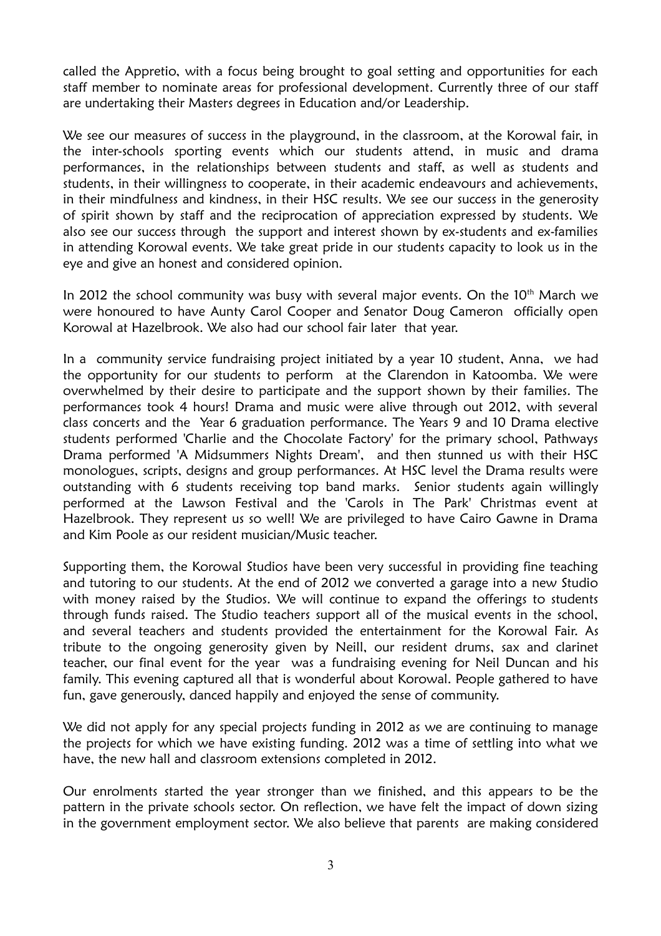called the Appretio, with a focus being brought to goal setting and opportunities for each staff member to nominate areas for professional development. Currently three of our staff are undertaking their Masters degrees in Education and/or Leadership.

We see our measures of success in the playground, in the classroom, at the Korowal fair, in the inter-schools sporting events which our students attend, in music and drama performances, in the relationships between students and staff, as well as students and students, in their willingness to cooperate, in their academic endeavours and achievements, in their mindfulness and kindness, in their HSC results. We see our success in the generosity of spirit shown by staff and the reciprocation of appreciation expressed by students. We also see our success through the support and interest shown by ex-students and ex-families in attending Korowal events. We take great pride in our students capacity to look us in the eye and give an honest and considered opinion.

In 2012 the school community was busy with several major events. On the  $10<sup>th</sup>$  March we were honoured to have Aunty Carol Cooper and Senator Doug Cameron officially open Korowal at Hazelbrook. We also had our school fair later that year.

In a community service fundraising project initiated by a year 10 student, Anna, we had the opportunity for our students to perform at the Clarendon in Katoomba. We were overwhelmed by their desire to participate and the support shown by their families. The performances took 4 hours! Drama and music were alive through out 2012, with several class concerts and the Year 6 graduation performance. The Years 9 and 10 Drama elective students performed 'Charlie and the Chocolate Factory' for the primary school, Pathways Drama performed 'A Midsummers Nights Dream', and then stunned us with their HSC monologues, scripts, designs and group performances. At HSC level the Drama results were outstanding with 6 students receiving top band marks. Senior students again willingly performed at the Lawson Festival and the 'Carols in The Park' Christmas event at Hazelbrook. They represent us so well! We are privileged to have Cairo Gawne in Drama and Kim Poole as our resident musician/Music teacher.

Supporting them, the Korowal Studios have been very successful in providing fine teaching and tutoring to our students. At the end of 2012 we converted a garage into a new Studio with money raised by the Studios. We will continue to expand the offerings to students through funds raised. The Studio teachers support all of the musical events in the school, and several teachers and students provided the entertainment for the Korowal Fair. As tribute to the ongoing generosity given by Neill, our resident drums, sax and clarinet teacher, our final event for the year was a fundraising evening for Neil Duncan and his family. This evening captured all that is wonderful about Korowal. People gathered to have fun, gave generously, danced happily and enjoyed the sense of community.

We did not apply for any special projects funding in 2012 as we are continuing to manage the projects for which we have existing funding. 2012 was a time of settling into what we have, the new hall and classroom extensions completed in 2012.

Our enrolments started the year stronger than we finished, and this appears to be the pattern in the private schools sector. On reflection, we have felt the impact of down sizing in the government employment sector. We also believe that parents are making considered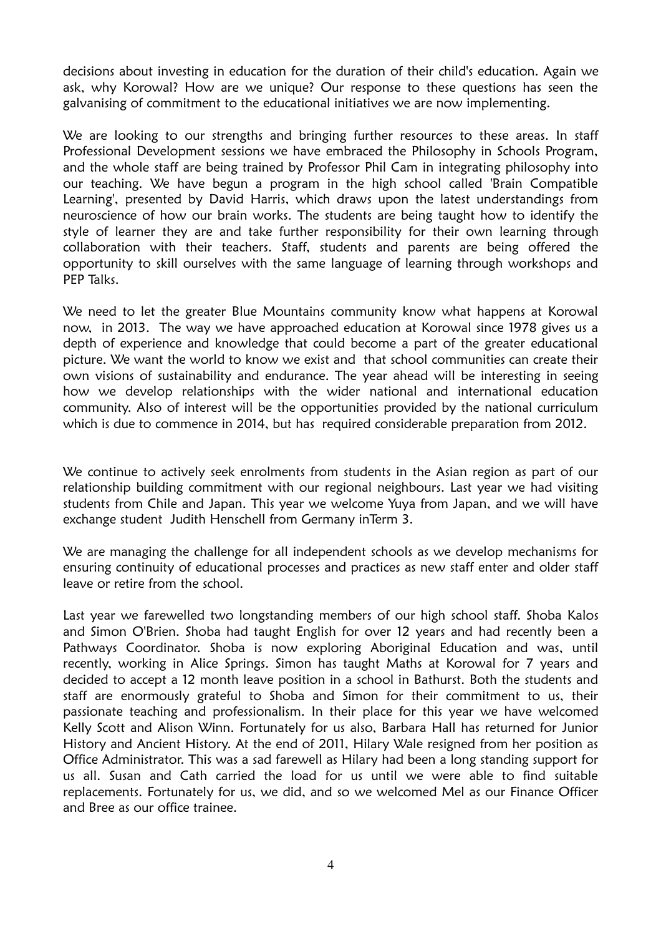decisions about investing in education for the duration of their child's education. Again we ask, why Korowal? How are we unique? Our response to these questions has seen the galvanising of commitment to the educational initiatives we are now implementing.

We are looking to our strengths and bringing further resources to these areas. In staff Professional Development sessions we have embraced the Philosophy in Schools Program, and the whole staff are being trained by Professor Phil Cam in integrating philosophy into our teaching. We have begun a program in the high school called 'Brain Compatible Learning', presented by David Harris, which draws upon the latest understandings from neuroscience of how our brain works. The students are being taught how to identify the style of learner they are and take further responsibility for their own learning through collaboration with their teachers. Staff, students and parents are being offered the opportunity to skill ourselves with the same language of learning through workshops and PEP Talks.

We need to let the greater Blue Mountains community know what happens at Korowal now, in 2013. The way we have approached education at Korowal since 1978 gives us a depth of experience and knowledge that could become a part of the greater educational picture. We want the world to know we exist and that school communities can create their own visions of sustainability and endurance. The year ahead will be interesting in seeing how we develop relationships with the wider national and international education community. Also of interest will be the opportunities provided by the national curriculum which is due to commence in 2014, but has required considerable preparation from 2012.

We continue to actively seek enrolments from students in the Asian region as part of our relationship building commitment with our regional neighbours. Last year we had visiting students from Chile and Japan. This year we welcome Yuya from Japan, and we will have exchange student Judith Henschell from Germany inTerm 3.

We are managing the challenge for all independent schools as we develop mechanisms for ensuring continuity of educational processes and practices as new staff enter and older staff leave or retire from the school.

Last year we farewelled two longstanding members of our high school staff. Shoba Kalos and Simon O'Brien. Shoba had taught English for over 12 years and had recently been a Pathways Coordinator. Shoba is now exploring Aboriginal Education and was, until recently, working in Alice Springs. Simon has taught Maths at Korowal for 7 years and decided to accept a 12 month leave position in a school in Bathurst. Both the students and staff are enormously grateful to Shoba and Simon for their commitment to us, their passionate teaching and professionalism. In their place for this year we have welcomed Kelly Scott and Alison Winn. Fortunately for us also, Barbara Hall has returned for Junior History and Ancient History. At the end of 2011, Hilary Wale resigned from her position as Office Administrator. This was a sad farewell as Hilary had been a long standing support for us all. Susan and Cath carried the load for us until we were able to find suitable replacements. Fortunately for us, we did, and so we welcomed Mel as our Finance Officer and Bree as our office trainee.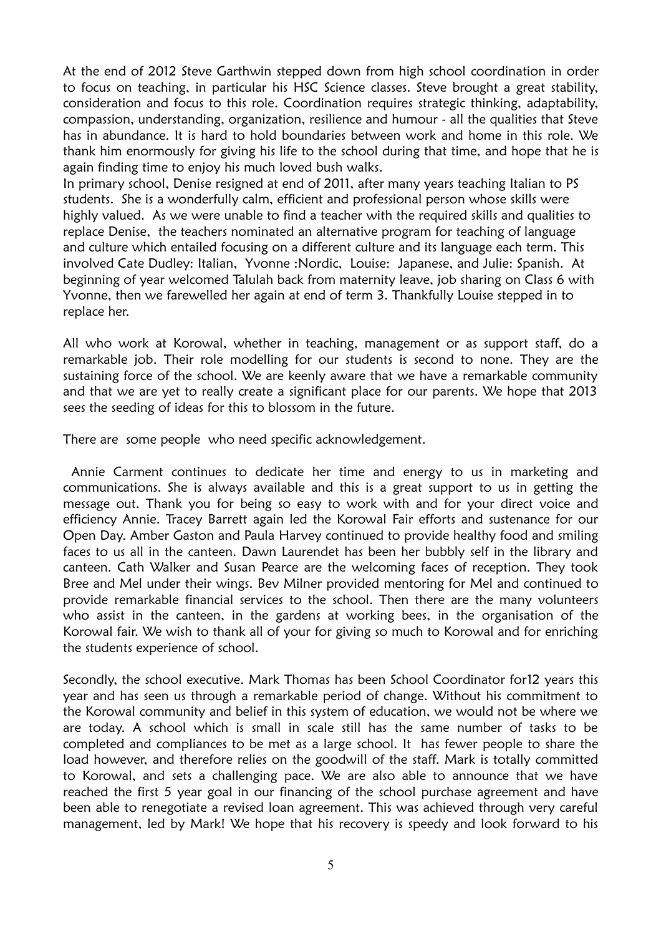At the end of 2012 Steve Garthwin stepped down from high school coordination in order to focus on teaching, in particular his HSC Science classes. Steve brought a great stability, consideration and focus to this role. Coordination requires strategic thinking, adaptability, compassion, understanding, organization, resilience and humour - all the qualities that Steve has in abundance. It is hard to hold boundaries between work and home in this role. We thank him enormously for giving his life to the school during that time, and hope that he is again finding time to enjoy his much loved bush walks.

In primary school, Denise resigned at end of 2011, after many years teaching Italian to PS students. She is a wonderfully calm, efficient and professional person whose skills were highly valued. As we were unable to find a teacher with the required skills and qualities to replace Denise, the teachers nominated an alternative program for teaching of language and culture which entailed focusing on a different culture and its language each term. This involved Cate Dudley: Italian, Yvonne :Nordic, Louise: Japanese, and Julie: Spanish. At beginning of year welcomed Talulah back from maternity leave, job sharing on Class 6 with Yvonne, then we farewelled her again at end of term 3. Thankfully Louise stepped in to replace her.

All who work at Korowal, whether in teaching, management or as support staff, do a remarkable job. Their role modelling for our students is second to none. They are the sustaining force of the school. We are keenly aware that we have a remarkable community and that we are yet to really create a significant place for our parents. We hope that 2013 sees the seeding of ideas for this to blossom in the future.

There are some people who need specific acknowledgement.

Annie Carment continues to dedicate her time and energy to us in marketing and communications. She is always available and this is a great support to us in getting the message out. Thank you for being so easy to work with and for your direct voice and efficiency Annie. Tracey Barrett again led the Korowal Fair efforts and sustenance for our Open Day. Amber Gaston and Paula Harvey continued to provide healthy food and smiling faces to us all in the canteen. Dawn Laurendet has been her bubbly self in the library and canteen. Cath Walker and Susan Pearce are the welcoming faces of reception. They took Bree and Mel under their wings. Bev Milner provided mentoring for Mel and continued to provide remarkable financial services to the school. Then there are the many volunteers who assist in the canteen, in the gardens at working bees, in the organisation of the Korowal fair. We wish to thank all of your for giving so much to Korowal and for enriching the students experience of school.

Secondly, the school executive. Mark Thomas has been School Coordinator for12 years this year and has seen us through a remarkable period of change. Without his commitment to the Korowal community and belief in this system of education, we would not be where we are today. A school which is small in scale still has the same number of tasks to be completed and compliances to be met as a large school. It has fewer people to share the load however, and therefore relies on the goodwill of the staff. Mark is totally committed to Korowal, and sets a challenging pace. We are also able to announce that we have reached the first 5 year goal in our financing of the school purchase agreement and have been able to renegotiate a revised loan agreement. This was achieved through very careful management, led by Mark! We hope that his recovery is speedy and look forward to his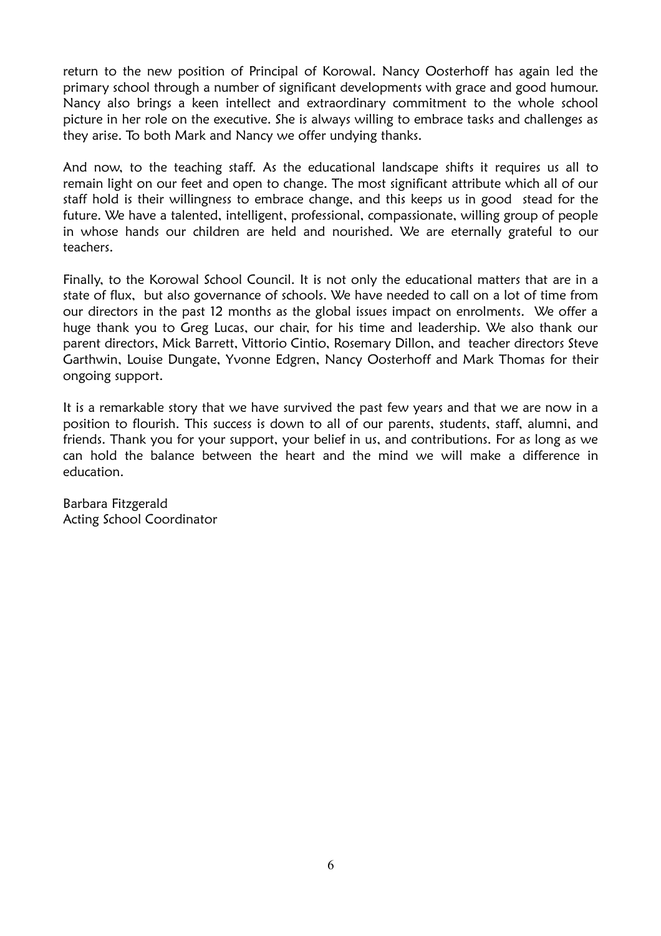return to the new position of Principal of Korowal. Nancy Oosterhoff has again led the primary school through a number of significant developments with grace and good humour. Nancy also brings a keen intellect and extraordinary commitment to the whole school picture in her role on the executive. She is always willing to embrace tasks and challenges as they arise. To both Mark and Nancy we offer undying thanks.

And now, to the teaching staff. As the educational landscape shifts it requires us all to remain light on our feet and open to change. The most significant attribute which all of our staff hold is their willingness to embrace change, and this keeps us in good stead for the future. We have a talented, intelligent, professional, compassionate, willing group of people in whose hands our children are held and nourished. We are eternally grateful to our teachers.

Finally, to the Korowal School Council. It is not only the educational matters that are in a state of flux, but also governance of schools. We have needed to call on a lot of time from our directors in the past 12 months as the global issues impact on enrolments. We offer a huge thank you to Greg Lucas, our chair, for his time and leadership. We also thank our parent directors, Mick Barrett, Vittorio Cintio, Rosemary Dillon, and teacher directors Steve Garthwin, Louise Dungate, Yvonne Edgren, Nancy Oosterhoff and Mark Thomas for their ongoing support.

It is a remarkable story that we have survived the past few years and that we are now in a position to flourish. This success is down to all of our parents, students, staff, alumni, and friends. Thank you for your support, your belief in us, and contributions. For as long as we can hold the balance between the heart and the mind we will make a difference in education.

Barbara Fitzgerald Acting School Coordinator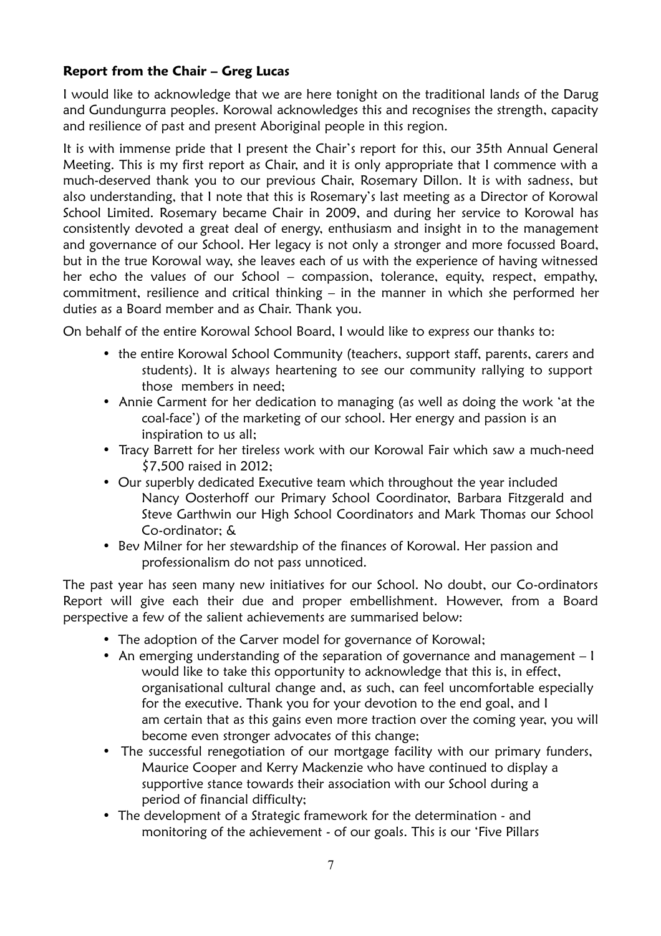### **Report from the Chair – Greg Lucas**

I would like to acknowledge that we are here tonight on the traditional lands of the Darug and Gundungurra peoples. Korowal acknowledges this and recognises the strength, capacity and resilience of past and present Aboriginal people in this region.

It is with immense pride that I present the Chair's report for this, our 35th Annual General Meeting. This is my first report as Chair, and it is only appropriate that I commence with a much-deserved thank you to our previous Chair, Rosemary Dillon. It is with sadness, but also understanding, that I note that this is Rosemary's last meeting as a Director of Korowal School Limited. Rosemary became Chair in 2009, and during her service to Korowal has consistently devoted a great deal of energy, enthusiasm and insight in to the management and governance of our School. Her legacy is not only a stronger and more focussed Board, but in the true Korowal way, she leaves each of us with the experience of having witnessed her echo the values of our School – compassion, tolerance, equity, respect, empathy, commitment, resilience and critical thinking – in the manner in which she performed her duties as a Board member and as Chair. Thank you.

On behalf of the entire Korowal School Board, I would like to express our thanks to:

- the entire Korowal School Community (teachers, support staff, parents, carers and students). It is always heartening to see our community rallying to support those members in need;
- Annie Carment for her dedication to managing (as well as doing the work 'at the coal-face') of the marketing of our school. Her energy and passion is an inspiration to us all;
- Tracy Barrett for her tireless work with our Korowal Fair which saw a much-need \$7,500 raised in 2012;
- Our superbly dedicated Executive team which throughout the year included Nancy Oosterhoff our Primary School Coordinator, Barbara Fitzgerald and Steve Garthwin our High School Coordinators and Mark Thomas our School Co-ordinator; &
- Bev Milner for her stewardship of the finances of Korowal. Her passion and professionalism do not pass unnoticed.

The past year has seen many new initiatives for our School. No doubt, our Co-ordinators Report will give each their due and proper embellishment. However, from a Board perspective a few of the salient achievements are summarised below:

- The adoption of the Carver model for governance of Korowal;
- An emerging understanding of the separation of governance and management I would like to take this opportunity to acknowledge that this is, in effect, organisational cultural change and, as such, can feel uncomfortable especially for the executive. Thank you for your devotion to the end goal, and I am certain that as this gains even more traction over the coming year, you will become even stronger advocates of this change;
- The successful renegotiation of our mortgage facility with our primary funders, Maurice Cooper and Kerry Mackenzie who have continued to display a supportive stance towards their association with our School during a period of financial difficulty;
- The development of a Strategic framework for the determination and monitoring of the achievement - of our goals. This is our 'Five Pillars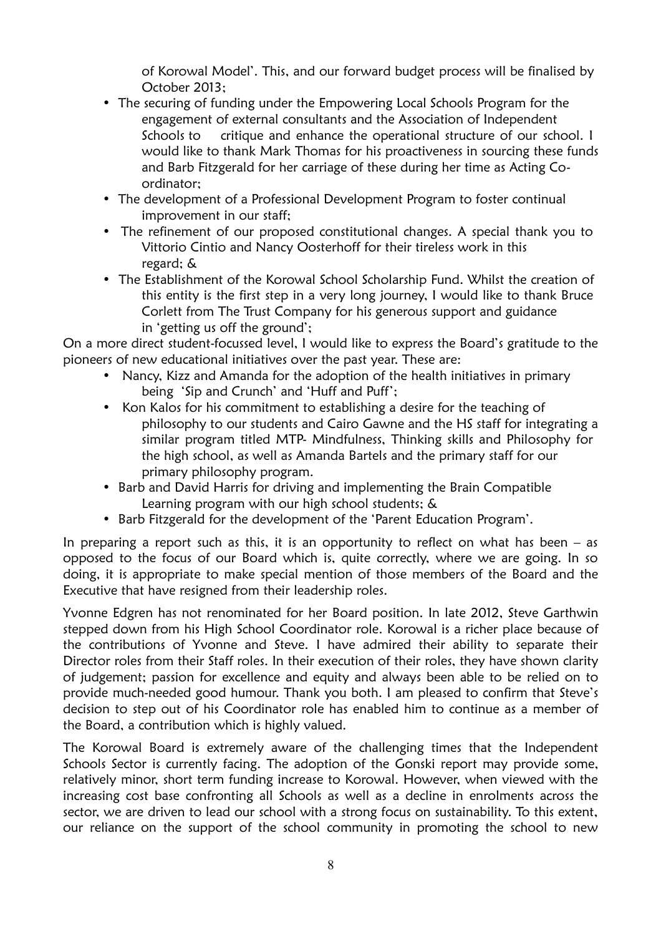of Korowal Model'. This, and our forward budget process will be finalised by October 2013;

- The securing of funding under the Empowering Local Schools Program for the engagement of external consultants and the Association of Independent Schools to critique and enhance the operational structure of our school. I would like to thank Mark Thomas for his proactiveness in sourcing these funds and Barb Fitzgerald for her carriage of these during her time as Acting Coordinator;
- The development of a Professional Development Program to foster continual improvement in our staff;
- The refinement of our proposed constitutional changes. A special thank you to Vittorio Cintio and Nancy Oosterhoff for their tireless work in this regard; &
- The Establishment of the Korowal School Scholarship Fund. Whilst the creation of this entity is the first step in a very long journey, I would like to thank Bruce Corlett from The Trust Company for his generous support and guidance in 'getting us off the ground';

On a more direct student-focussed level, I would like to express the Board's gratitude to the pioneers of new educational initiatives over the past year. These are:

- Nancy, Kizz and Amanda for the adoption of the health initiatives in primary being 'Sip and Crunch' and 'Huff and Puff';
- Kon Kalos for his commitment to establishing a desire for the teaching of philosophy to our students and Cairo Gawne and the HS staff for integrating a similar program titled MTP- Mindfulness, Thinking skills and Philosophy for the high school, as well as Amanda Bartels and the primary staff for our primary philosophy program.
- Barb and David Harris for driving and implementing the Brain Compatible Learning program with our high school students; &
- Barb Fitzgerald for the development of the 'Parent Education Program'.

In preparing a report such as this, it is an opportunity to reflect on what has been – as opposed to the focus of our Board which is, quite correctly, where we are going. In so doing, it is appropriate to make special mention of those members of the Board and the Executive that have resigned from their leadership roles.

Yvonne Edgren has not renominated for her Board position. In late 2012, Steve Garthwin stepped down from his High School Coordinator role. Korowal is a richer place because of the contributions of Yvonne and Steve. I have admired their ability to separate their Director roles from their Staff roles. In their execution of their roles, they have shown clarity of judgement; passion for excellence and equity and always been able to be relied on to provide much-needed good humour. Thank you both. I am pleased to confirm that Steve's decision to step out of his Coordinator role has enabled him to continue as a member of the Board, a contribution which is highly valued.

The Korowal Board is extremely aware of the challenging times that the Independent Schools Sector is currently facing. The adoption of the Gonski report may provide some, relatively minor, short term funding increase to Korowal. However, when viewed with the increasing cost base confronting all Schools as well as a decline in enrolments across the sector, we are driven to lead our school with a strong focus on sustainability. To this extent, our reliance on the support of the school community in promoting the school to new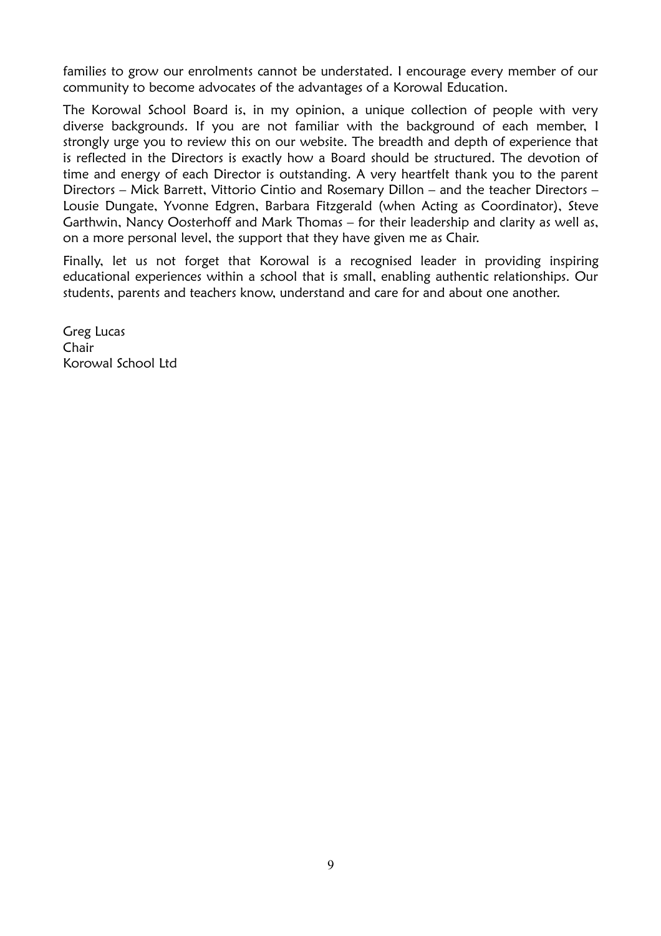families to grow our enrolments cannot be understated. I encourage every member of our community to become advocates of the advantages of a Korowal Education.

The Korowal School Board is, in my opinion, a unique collection of people with very diverse backgrounds. If you are not familiar with the background of each member, I strongly urge you to review this on our website. The breadth and depth of experience that is reflected in the Directors is exactly how a Board should be structured. The devotion of time and energy of each Director is outstanding. A very heartfelt thank you to the parent Directors – Mick Barrett, Vittorio Cintio and Rosemary Dillon – and the teacher Directors – Lousie Dungate, Yvonne Edgren, Barbara Fitzgerald (when Acting as Coordinator), Steve Garthwin, Nancy Oosterhoff and Mark Thomas – for their leadership and clarity as well as, on a more personal level, the support that they have given me as Chair.

Finally, let us not forget that Korowal is a recognised leader in providing inspiring educational experiences within a school that is small, enabling authentic relationships. Our students, parents and teachers know, understand and care for and about one another.

Greg Lucas Chair Korowal School Ltd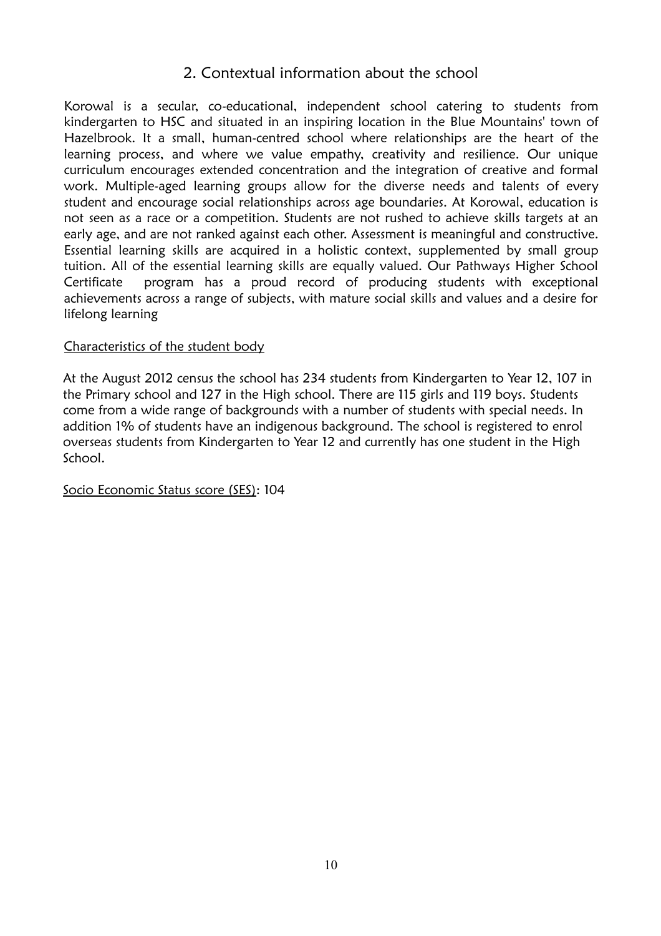# 2. Contextual information about the school

Korowal is a secular, co-educational, independent school catering to students from kindergarten to HSC and situated in an inspiring location in the Blue Mountains' town of Hazelbrook. It a small, human-centred school where relationships are the heart of the learning process, and where we value empathy, creativity and resilience. Our unique curriculum encourages extended concentration and the integration of creative and formal work. Multiple-aged learning groups allow for the diverse needs and talents of every student and encourage social relationships across age boundaries. At Korowal, education is not seen as a race or a competition. Students are not rushed to achieve skills targets at an early age, and are not ranked against each other. Assessment is meaningful and constructive. Essential learning skills are acquired in a holistic context, supplemented by small group tuition. All of the essential learning skills are equally valued. Our Pathways Higher School Certificate program has a proud record of producing students with exceptional achievements across a range of subjects, with mature social skills and values and a desire for lifelong learning

#### Characteristics of the student body

At the August 2012 census the school has 234 students from Kindergarten to Year 12, 107 in the Primary school and 127 in the High school. There are 115 girls and 119 boys. Students come from a wide range of backgrounds with a number of students with special needs. In addition 1% of students have an indigenous background. The school is registered to enrol overseas students from Kindergarten to Year 12 and currently has one student in the High School.

Socio Economic Status score (SES): 104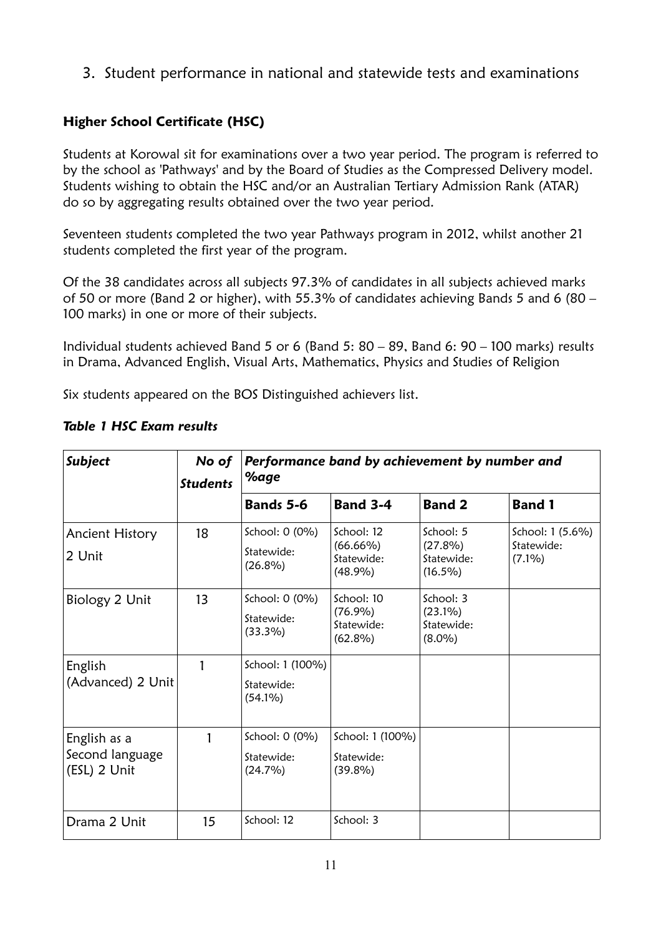3. Student performance in national and statewide tests and examinations

# **Higher School Certificate (HSC)**

Students at Korowal sit for examinations over a two year period. The program is referred to by the school as 'Pathways' and by the Board of Studies as the Compressed Delivery model. Students wishing to obtain the HSC and/or an Australian Tertiary Admission Rank (ATAR) do so by aggregating results obtained over the two year period.

Seventeen students completed the two year Pathways program in 2012, whilst another 21 students completed the first year of the program.

Of the 38 candidates across all subjects 97.3% of candidates in all subjects achieved marks of 50 or more (Band 2 or higher), with 55.3% of candidates achieving Bands 5 and 6 (80 – 100 marks) in one or more of their subjects.

Individual students achieved Band 5 or 6 (Band 5: 80 – 89, Band 6: 90 – 100 marks) results in Drama, Advanced English, Visual Arts, Mathematics, Physics and Studies of Religion

Six students appeared on the BOS Distinguished achievers list.

| <b>Subject</b>                                  | No of<br><b>Students</b> | Performance band by achievement by number and<br>%age |                                                      |                                                     |                                             |
|-------------------------------------------------|--------------------------|-------------------------------------------------------|------------------------------------------------------|-----------------------------------------------------|---------------------------------------------|
|                                                 |                          | Bands 5-6                                             | <b>Band 3-4</b>                                      | <b>Band 2</b>                                       | <b>Band 1</b>                               |
| Ancient History<br>2 Unit                       | 18                       | School: 0 (0%)<br>Statewide:<br>$(26.8\%)$            | School: 12<br>$(66.66\%)$<br>Statewide:<br>(48.9%)   | School: 5<br>$(27.8\%)$<br>Statewide:<br>$(16.5\%)$ | School: 1 (5.6%)<br>Statewide:<br>$(7.1\%)$ |
| Biology 2 Unit                                  | 13                       | School: 0 (0%)<br>Statewide:<br>$(33.3\%)$            | School: 10<br>$(76.9\%)$<br>Statewide:<br>$(62.8\%)$ | School: 3<br>$(23.1\%)$<br>Statewide:<br>$(8.0\%)$  |                                             |
| English<br>(Advanced) 2 Unit                    |                          | School: 1 (100%)<br>Statewide:<br>$(54.1\%)$          |                                                      |                                                     |                                             |
| English as a<br>Second language<br>(ESL) 2 Unit | 1                        | School: 0 (0%)<br>Statewide:<br>$(24.7\%)$            | School: 1 (100%)<br>Statewide:<br>$(39.8\%)$         |                                                     |                                             |
| Drama 2 Unit                                    | 15                       | School: 12                                            | School: 3                                            |                                                     |                                             |

#### *Table 1 HSC Exam results*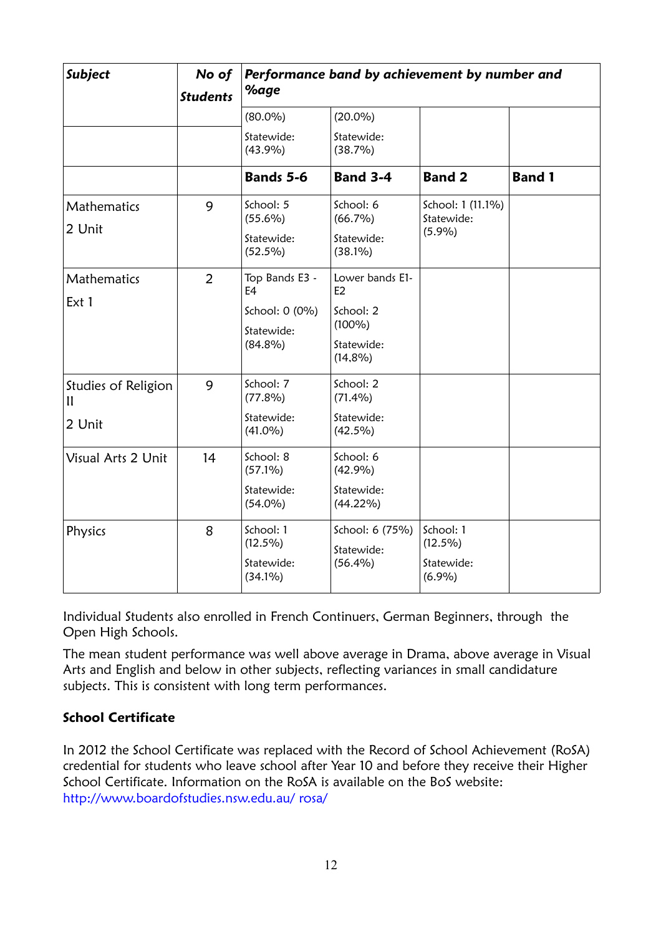| Subject                                       | No of<br><b>Students</b> | Performance band by achievement by number and<br>%age                          |                                                                             |                                                 |               |
|-----------------------------------------------|--------------------------|--------------------------------------------------------------------------------|-----------------------------------------------------------------------------|-------------------------------------------------|---------------|
|                                               |                          | $(80.0\%)$                                                                     | $(20.0\%)$                                                                  |                                                 |               |
|                                               |                          | Statewide:<br>(43.9%)                                                          | Statewide:<br>(38.7%)                                                       |                                                 |               |
|                                               |                          | Bands 5-6                                                                      | <b>Band 3-4</b>                                                             | <b>Band 2</b>                                   | <b>Band 1</b> |
| Mathematics<br>2 Unit                         | 9                        | School: 5<br>$(55.6\%)$<br>Statewide:<br>$(52.5\%)$                            | School: 6<br>$(66.7\%)$<br>Statewide:<br>$(38.1\%)$                         | School: 1 (11.1%)<br>Statewide:<br>(5.9%)       |               |
| Mathematics<br>Ext 1                          | $\overline{2}$           | Top Bands E3 -<br>E <sub>4</sub><br>School: 0 (0%)<br>Statewide:<br>$(84.8\%)$ | Lower bands E1-<br>E2<br>School: 2<br>$(100\%)$<br>Statewide:<br>$(14,8\%)$ |                                                 |               |
| Studies of Religion<br>$\mathbf{u}$<br>2 Unit | 9                        | School: 7<br>$(77.8\%)$<br>Statewide:<br>$(41.0\%)$                            | School: 2<br>$(71.4\%)$<br>Statewide:<br>$(42.5\%)$                         |                                                 |               |
| Visual Arts 2 Unit                            | 14                       | School: 8<br>$(57.1\%)$<br>Statewide:<br>$(54.0\%)$                            | School: 6<br>(42.9%)<br>Statewide:<br>$(44.22\%)$                           |                                                 |               |
| Physics                                       | 8                        | School: 1<br>$(12.5\%)$<br>Statewide:<br>$(34.1\%)$                            | School: 6 (75%)<br>Statewide:<br>$(56.4\%)$                                 | School: 1<br>$(12.5\%)$<br>Statewide:<br>(6.9%) |               |

Individual Students also enrolled in French Continuers, German Beginners, through the Open High Schools.

The mean student performance was well above average in Drama, above average in Visual Arts and English and below in other subjects, reflecting variances in small candidature subjects. This is consistent with long term performances.

## **School Certificate**

In 2012 the School Certificate was replaced with the Record of School Achievement (RoSA) credential for students who leave school after Year 10 and before they receive their Higher School Certificate. Information on the RoSA is available on the BoS website: http://www.boardofstudies.nsw.edu.au/ rosa/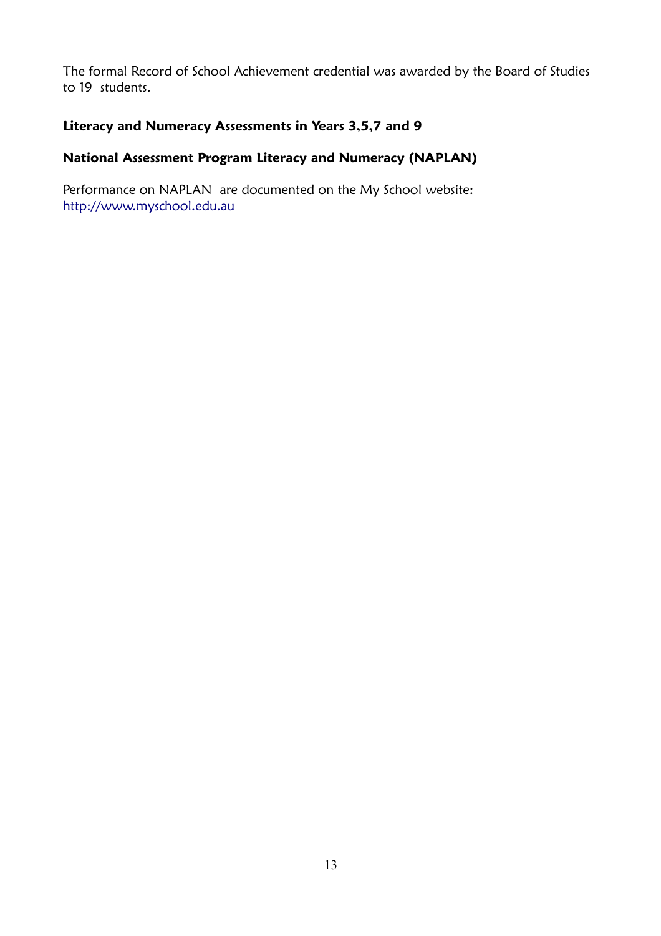The formal Record of School Achievement credential was awarded by the Board of Studies to 19 students.

#### **Literacy and Numeracy Assessments in Years 3,5,7 and 9**

### **National Assessment Program Literacy and Numeracy (NAPLAN)**

Performance on NAPLAN are documented on the My School website: [http://www.myschool.edu.au](http://www.myschool.edu.au/)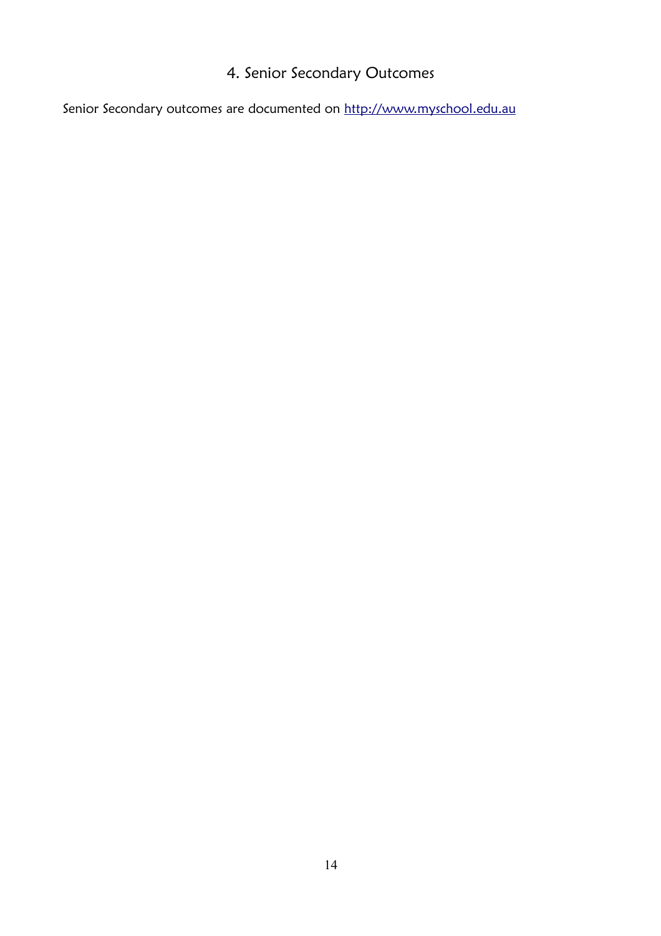# 4. Senior Secondary Outcomes

Senior Secondary outcomes are documented on [http://www.myschool.edu.au](http://www.myschool.edu.au/)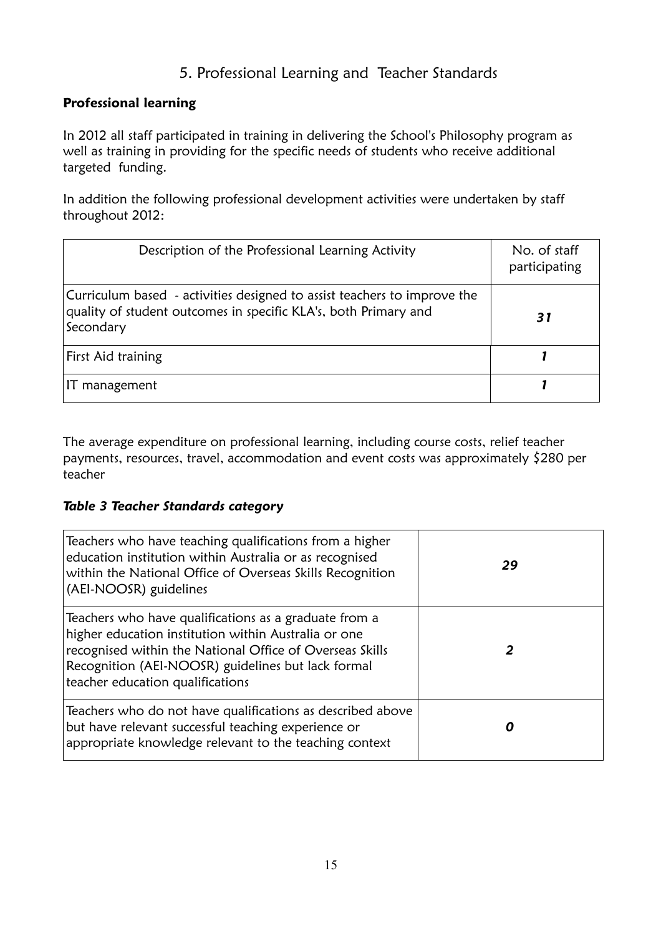# 5. Professional Learning and Teacher Standards

#### **Professional learning**

In 2012 all staff participated in training in delivering the School's Philosophy program as well as training in providing for the specific needs of students who receive additional targeted funding.

In addition the following professional development activities were undertaken by staff throughout 2012:

| Description of the Professional Learning Activity                                                                                                        | No. of staff<br>participating |
|----------------------------------------------------------------------------------------------------------------------------------------------------------|-------------------------------|
| Curriculum based - activities designed to assist teachers to improve the<br>quality of student outcomes in specific KLA's, both Primary and<br>Secondary | 31                            |
| First Aid training                                                                                                                                       |                               |
| IT management                                                                                                                                            |                               |

The average expenditure on professional learning, including course costs, relief teacher payments, resources, travel, accommodation and event costs was approximately \$280 per teacher

#### *Table 3 Teacher Standards category*

| Teachers who have teaching qualifications from a higher<br>education institution within Australia or as recognised<br>within the National Office of Overseas Skills Recognition<br>(AEI-NOOSR) guidelines                                                           | 29 |
|---------------------------------------------------------------------------------------------------------------------------------------------------------------------------------------------------------------------------------------------------------------------|----|
| Teachers who have qualifications as a graduate from a<br>higher education institution within Australia or one<br>recognised within the National Office of Overseas Skills<br>Recognition (AEI-NOOSR) guidelines but lack formal<br>teacher education qualifications |    |
| Teachers who do not have qualifications as described above<br>but have relevant successful teaching experience or<br>appropriate knowledge relevant to the teaching context                                                                                         |    |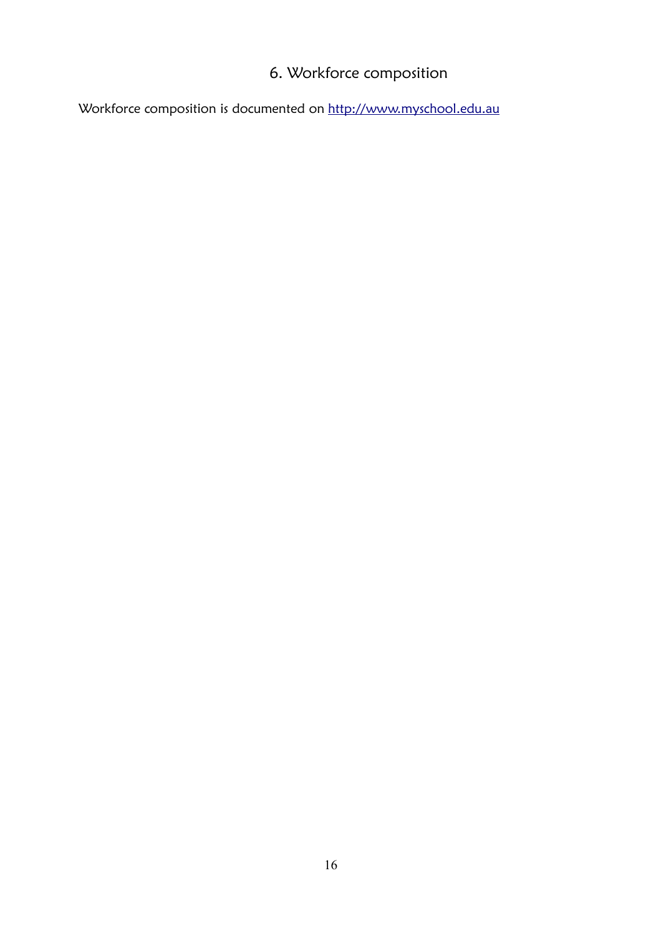# 6. Workforce composition

Workforce composition is documented on [http://www.myschool.edu.au](http://www.myschool.edu.au/)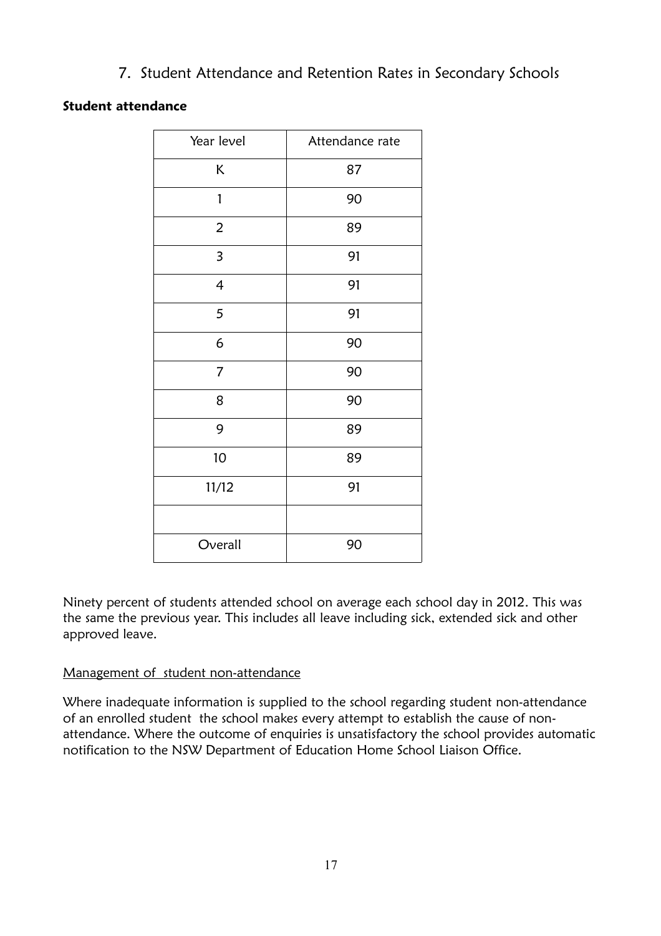7. Student Attendance and Retention Rates in Secondary Schools

## **Student attendance**

| Year level               | Attendance rate |
|--------------------------|-----------------|
| Κ                        | 87              |
| 1                        | 90              |
| $\overline{2}$           | 89              |
| 3                        | 91              |
| $\overline{\mathcal{A}}$ | 91              |
| 5                        | 91              |
| 6                        | 90              |
| $\overline{7}$           | 90              |
| 8                        | 90              |
| 9                        | 89              |
| 10                       | 89              |
| 11/12                    | 91              |
|                          |                 |
| Overall                  | 90              |

Ninety percent of students attended school on average each school day in 2012. This was the same the previous year. This includes all leave including sick, extended sick and other approved leave.

#### Management of student non-attendance

Where inadequate information is supplied to the school regarding student non-attendance of an enrolled student the school makes every attempt to establish the cause of nonattendance. Where the outcome of enquiries is unsatisfactory the school provides automatic notification to the NSW Department of Education Home School Liaison Office.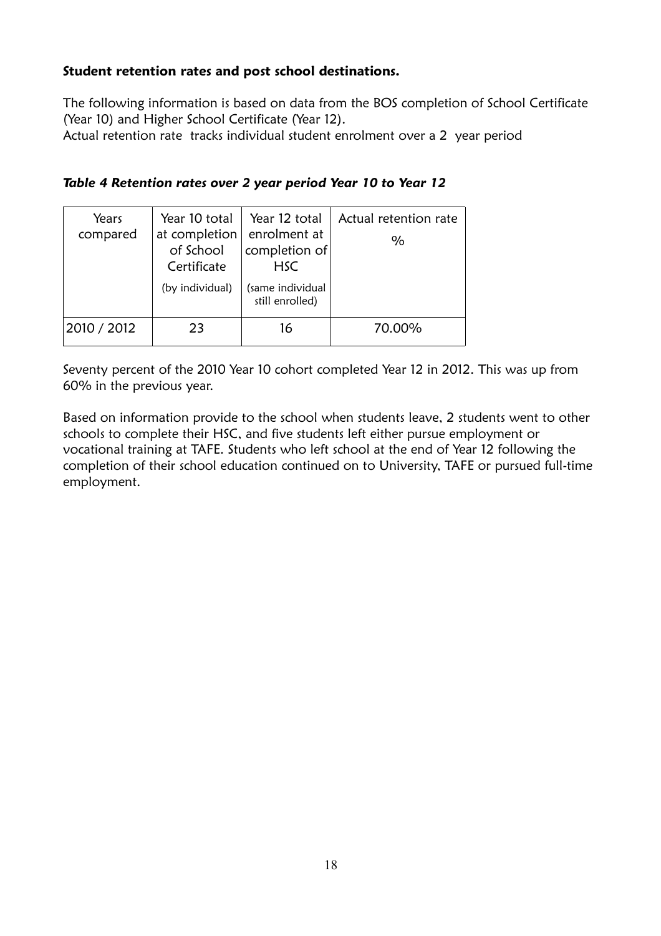#### **Student retention rates and post school destinations.**

The following information is based on data from the BOS completion of School Certificate (Year 10) and Higher School Certificate (Year 12).

Actual retention rate tracks individual student enrolment over a 2 year period

| Table 4 Retention rates over 2 year period Year 10 to Year 12 |  |  |  |  |
|---------------------------------------------------------------|--|--|--|--|
|---------------------------------------------------------------|--|--|--|--|

| Years<br>compared | Year 10 total<br>at completion<br>of School<br>Certificate<br>(by individual) | Year 12 total<br>enrolment at<br>completion of<br><b>HSC</b><br>(same individual<br>still enrolled) | Actual retention rate<br>$\%$ |
|-------------------|-------------------------------------------------------------------------------|-----------------------------------------------------------------------------------------------------|-------------------------------|
| 2010 / 2012       | つろ                                                                            | 16                                                                                                  | 70.00%                        |

Seventy percent of the 2010 Year 10 cohort completed Year 12 in 2012. This was up from 60% in the previous year.

Based on information provide to the school when students leave, 2 students went to other schools to complete their HSC, and five students left either pursue employment or vocational training at TAFE. Students who left school at the end of Year 12 following the completion of their school education continued on to University, TAFE or pursued full-time employment.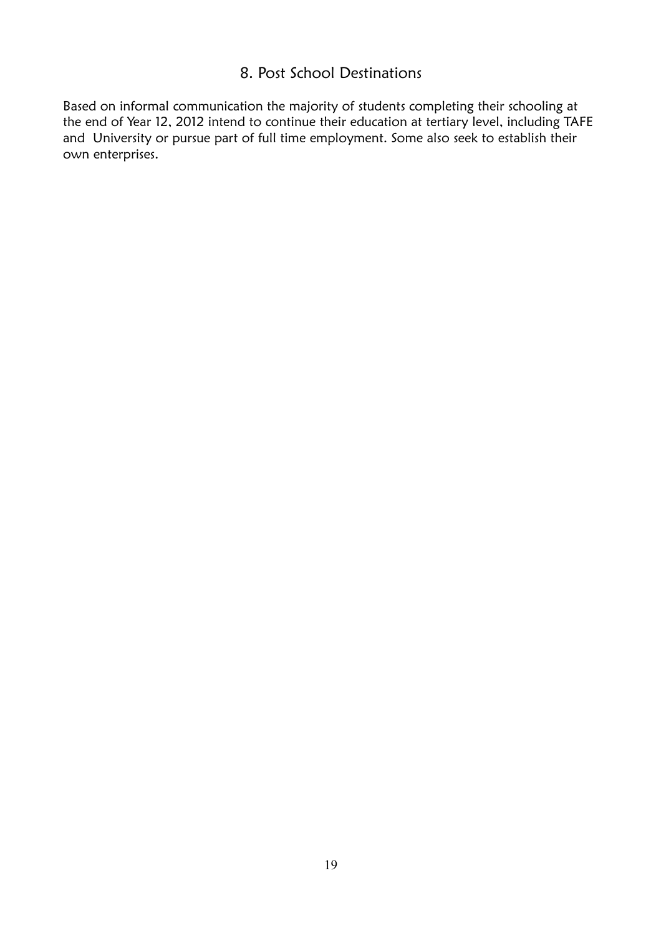# 8. Post School Destinations

Based on informal communication the majority of students completing their schooling at the end of Year 12, 2012 intend to continue their education at tertiary level, including TAFE and University or pursue part of full time employment. Some also seek to establish their own enterprises.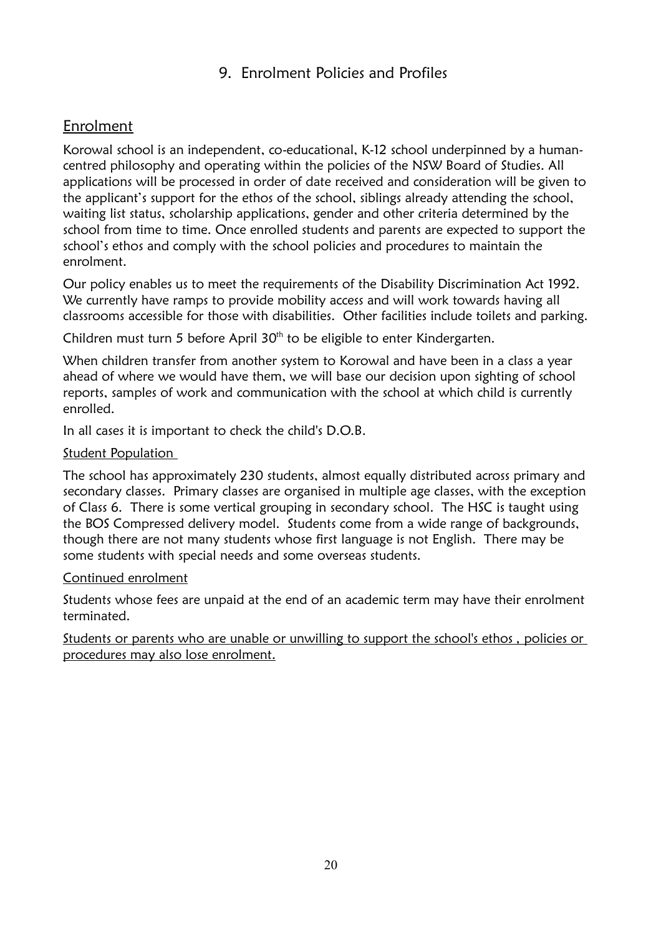# 9. Enrolment Policies and Profiles

# Enrolment

Korowal school is an independent, co-educational, K-12 school underpinned by a humancentred philosophy and operating within the policies of the NSW Board of Studies. All applications will be processed in order of date received and consideration will be given to the applicant's support for the ethos of the school, siblings already attending the school, waiting list status, scholarship applications, gender and other criteria determined by the school from time to time. Once enrolled students and parents are expected to support the school's ethos and comply with the school policies and procedures to maintain the enrolment.

Our policy enables us to meet the requirements of the Disability Discrimination Act 1992. We currently have ramps to provide mobility access and will work towards having all classrooms accessible for those with disabilities. Other facilities include toilets and parking.

Children must turn 5 before April 30<sup>th</sup> to be eligible to enter Kindergarten.

When children transfer from another system to Korowal and have been in a class a year ahead of where we would have them, we will base our decision upon sighting of school reports, samples of work and communication with the school at which child is currently enrolled.

In all cases it is important to check the child's D.O.B.

#### Student Population

The school has approximately 230 students, almost equally distributed across primary and secondary classes. Primary classes are organised in multiple age classes, with the exception of Class 6. There is some vertical grouping in secondary school. The HSC is taught using the BOS Compressed delivery model. Students come from a wide range of backgrounds, though there are not many students whose first language is not English. There may be some students with special needs and some overseas students.

#### Continued enrolment

Students whose fees are unpaid at the end of an academic term may have their enrolment terminated.

 Students or parents who are unable or unwilling to support the school 's ethos *,* policies or procedures may also lose enrolment.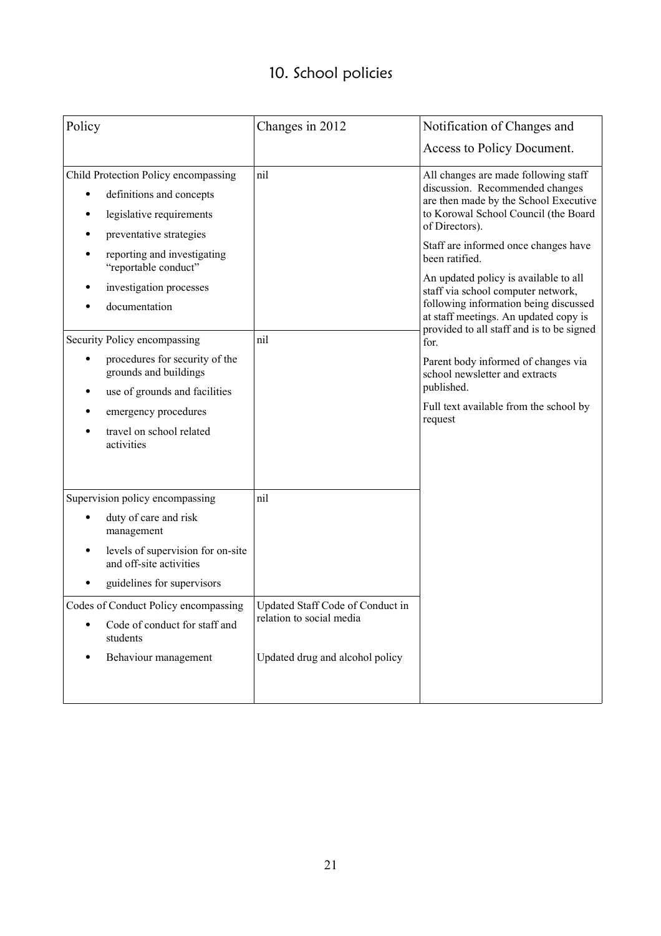# 10. School policies

| Policy                                                                                                                  | Changes in 2012                                              | Notification of Changes and                                                                                                                                                                                             |
|-------------------------------------------------------------------------------------------------------------------------|--------------------------------------------------------------|-------------------------------------------------------------------------------------------------------------------------------------------------------------------------------------------------------------------------|
|                                                                                                                         |                                                              | Access to Policy Document.                                                                                                                                                                                              |
| Child Protection Policy encompassing<br>definitions and concepts<br>legislative requirements<br>preventative strategies | nil                                                          | All changes are made following staff<br>discussion. Recommended changes<br>are then made by the School Executive<br>to Korowal School Council (the Board<br>of Directors).                                              |
| reporting and investigating<br>"reportable conduct"<br>investigation processes<br>documentation                         |                                                              | Staff are informed once changes have<br>been ratified.<br>An updated policy is available to all<br>staff via school computer network,<br>following information being discussed<br>at staff meetings. An updated copy is |
| Security Policy encompassing                                                                                            | nil                                                          | provided to all staff and is to be signed<br>for.                                                                                                                                                                       |
| procedures for security of the<br>grounds and buildings<br>use of grounds and facilities                                |                                                              | Parent body informed of changes via<br>school newsletter and extracts<br>published.                                                                                                                                     |
| emergency procedures<br>travel on school related<br>activities                                                          |                                                              | Full text available from the school by<br>request                                                                                                                                                                       |
| Supervision policy encompassing                                                                                         | nil                                                          |                                                                                                                                                                                                                         |
| duty of care and risk<br>management                                                                                     |                                                              |                                                                                                                                                                                                                         |
| levels of supervision for on-site<br>and off-site activities                                                            |                                                              |                                                                                                                                                                                                                         |
| guidelines for supervisors                                                                                              |                                                              |                                                                                                                                                                                                                         |
| Codes of Conduct Policy encompassing<br>Code of conduct for staff and<br>students                                       | Updated Staff Code of Conduct in<br>relation to social media |                                                                                                                                                                                                                         |
| Behaviour management                                                                                                    | Updated drug and alcohol policy                              |                                                                                                                                                                                                                         |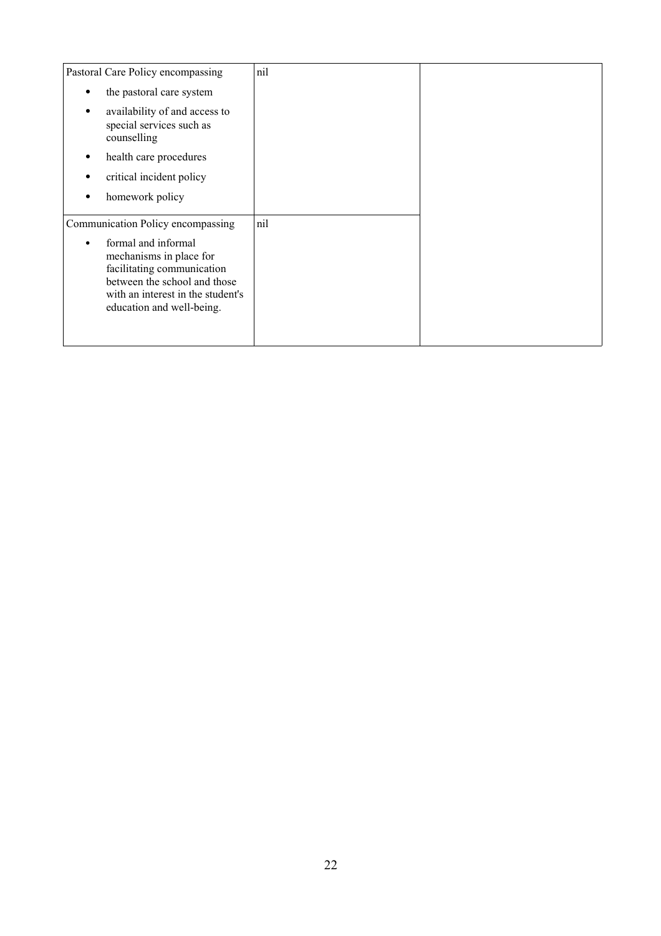| Pastoral Care Policy encompassing                                                                                                                                                                                   | nil |  |
|---------------------------------------------------------------------------------------------------------------------------------------------------------------------------------------------------------------------|-----|--|
| the pastoral care system                                                                                                                                                                                            |     |  |
| availability of and access to<br>special services such as<br>counselling                                                                                                                                            |     |  |
| health care procedures                                                                                                                                                                                              |     |  |
| critical incident policy                                                                                                                                                                                            |     |  |
| homework policy                                                                                                                                                                                                     |     |  |
| Communication Policy encompassing<br>formal and informal<br>mechanisms in place for<br>facilitating communication<br>between the school and those<br>with an interest in the student's<br>education and well-being. | nil |  |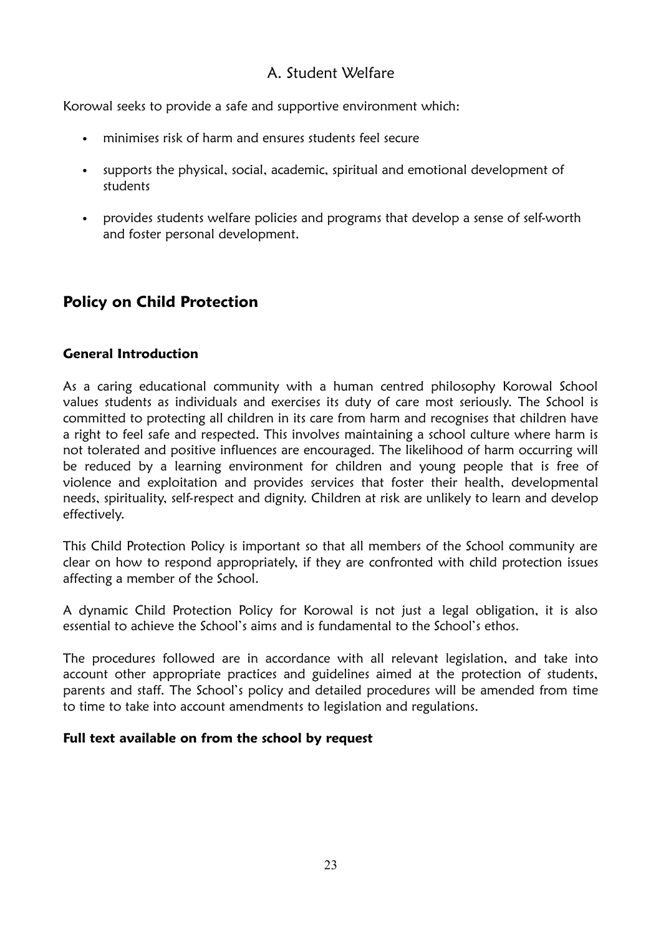# A. Student Welfare

Korowal seeks to provide a safe and supportive environment which:

- minimises risk of harm and ensures students feel secure
- supports the physical, social, academic, spiritual and emotional development of students
- provides students welfare policies and programs that develop a sense of self-worth and foster personal development.

# **Policy on Child Protection**

#### **General Introduction**

As a caring educational community with a human centred philosophy Korowal School values students as individuals and exercises its duty of care most seriously. The School is committed to protecting all children in its care from harm and recognises that children have a right to feel safe and respected. This involves maintaining a school culture where harm is not tolerated and positive influences are encouraged. The likelihood of harm occurring will be reduced by a learning environment for children and young people that is free of violence and exploitation and provides services that foster their health, developmental needs, spirituality, self-respect and dignity. Children at risk are unlikely to learn and develop effectively.

This Child Protection Policy is important so that all members of the School community are clear on how to respond appropriately, if they are confronted with child protection issues affecting a member of the School.

A dynamic Child Protection Policy for Korowal is not just a legal obligation, it is also essential to achieve the School's aims and is fundamental to the School's ethos.

The procedures followed are in accordance with all relevant legislation, and take into account other appropriate practices and guidelines aimed at the protection of students, parents and staff. The School's policy and detailed procedures will be amended from time to time to take into account amendments to legislation and regulations.

#### **Full text available on from the school by request**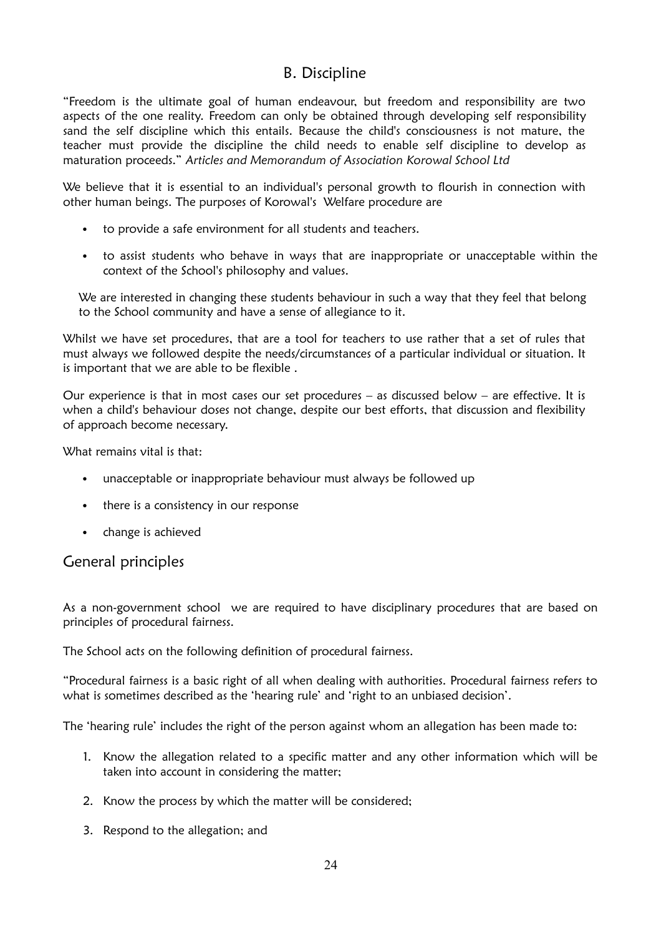## B. Discipline

"Freedom is the ultimate goal of human endeavour, but freedom and responsibility are two aspects of the one reality. Freedom can only be obtained through developing self responsibility sand the self discipline which this entails. Because the child's consciousness is not mature, the teacher must provide the discipline the child needs to enable self discipline to develop as maturation proceeds." *Articles and Memorandum of Association Korowal School Ltd*

We believe that it is essential to an individual's personal growth to flourish in connection with other human beings. The purposes of Korowal's Welfare procedure are

- to provide a safe environment for all students and teachers.
- to assist students who behave in ways that are inappropriate or unacceptable within the context of the School's philosophy and values.

We are interested in changing these students behaviour in such a way that they feel that belong to the School community and have a sense of allegiance to it.

Whilst we have set procedures, that are a tool for teachers to use rather that a set of rules that must always we followed despite the needs/circumstances of a particular individual or situation. It is important that we are able to be flexible .

Our experience is that in most cases our set procedures – as discussed below – are effective. It is when a child's behaviour doses not change, despite our best efforts, that discussion and flexibility of approach become necessary.

What remains vital is that:

- unacceptable or inappropriate behaviour must always be followed up
- there is a consistency in our response
- change is achieved

General principles

As a non-government school we are required to have disciplinary procedures that are based on principles of procedural fairness.

The School acts on the following definition of procedural fairness.

"Procedural fairness is a basic right of all when dealing with authorities. Procedural fairness refers to what is sometimes described as the 'hearing rule' and 'right to an unbiased decision'.

The 'hearing rule' includes the right of the person against whom an allegation has been made to:

- 1. Know the allegation related to a specific matter and any other information which will be taken into account in considering the matter;
- 2. Know the process by which the matter will be considered;
- 3. Respond to the allegation; and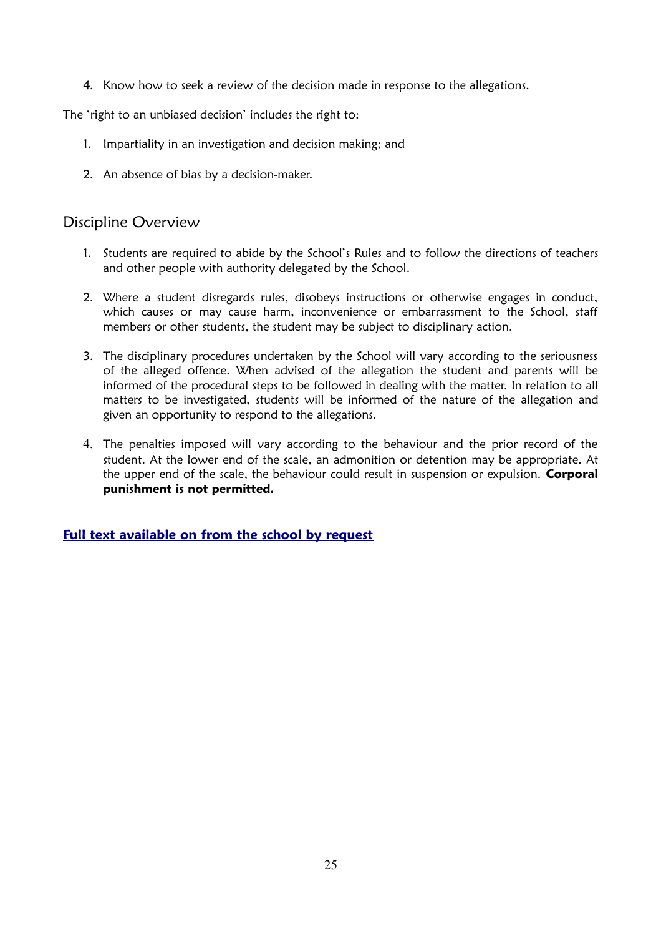4. Know how to seek a review of the decision made in response to the allegations.

The 'right to an unbiased decision' includes the right to:

- 1. Impartiality in an investigation and decision making; and
- 2. An absence of bias by a decision-maker.

#### Discipline Overview

- 1. Students are required to abide by the School's Rules and to follow the directions of teachers and other people with authority delegated by the School.
- 2. Where a student disregards rules, disobeys instructions or otherwise engages in conduct, which causes or may cause harm, inconvenience or embarrassment to the School, staff members or other students, the student may be subject to disciplinary action.
- 3. The disciplinary procedures undertaken by the School will vary according to the seriousness of the alleged offence. When advised of the allegation the student and parents will be informed of the procedural steps to be followed in dealing with the matter. In relation to all matters to be investigated, students will be informed of the nature of the allegation and given an opportunity to respond to the allegations.
- 4. The penalties imposed will vary according to the behaviour and the prior record of the student. At the lower end of the scale, an admonition or detention may be appropriate. At the upper end of the scale, the behaviour could result in suspension or expulsion. **Corporal punishment is not permitted.**

#### **[Full text available on from the school by request](http://www.korowal.nsw.edu.au/)**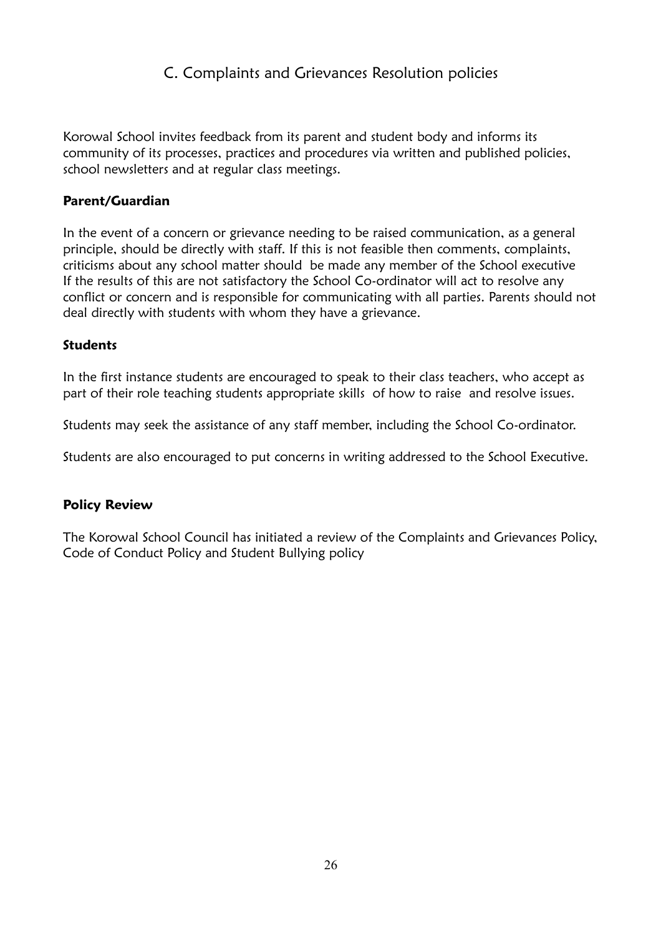# C. Complaints and Grievances Resolution policies

Korowal School invites feedback from its parent and student body and informs its community of its processes, practices and procedures via written and published policies, school newsletters and at regular class meetings.

#### **Parent/Guardian**

In the event of a concern or grievance needing to be raised communication, as a general principle, should be directly with staff. If this is not feasible then comments, complaints, criticisms about any school matter should be made any member of the School executive If the results of this are not satisfactory the School Co-ordinator will act to resolve any conflict or concern and is responsible for communicating with all parties. Parents should not deal directly with students with whom they have a grievance.

#### **Students**

In the first instance students are encouraged to speak to their class teachers, who accept as part of their role teaching students appropriate skills of how to raise and resolve issues.

Students may seek the assistance of any staff member, including the School Co-ordinator.

Students are also encouraged to put concerns in writing addressed to the School Executive.

#### **Policy Review**

The Korowal School Council has initiated a review of the Complaints and Grievances Policy, Code of Conduct Policy and Student Bullying policy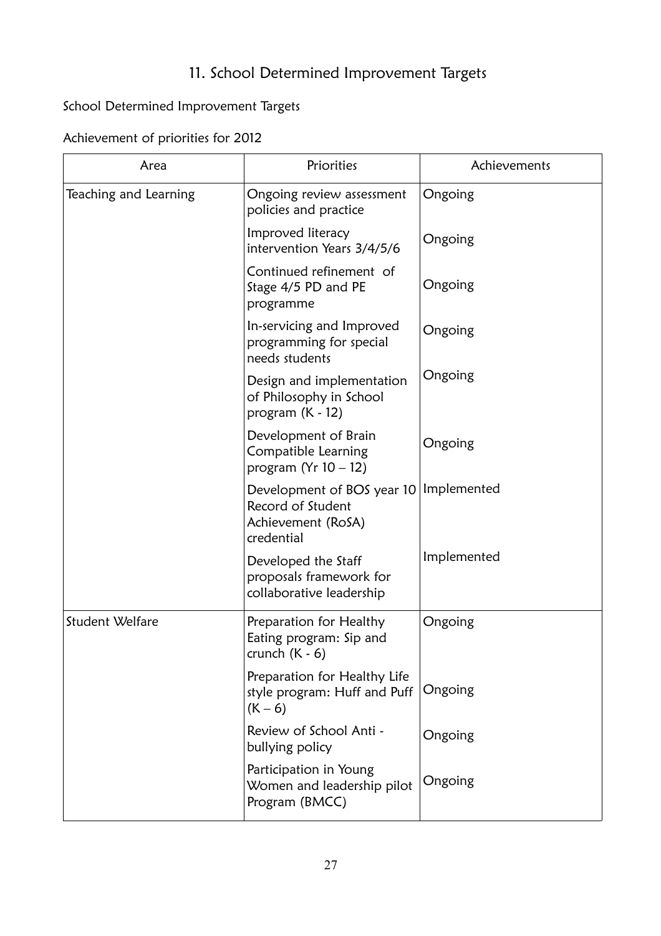# 11. School Determined Improvement Targets

# School Determined Improvement Targets

Achievement of priorities for 2012

| Area                  | Priorities                                                                          | Achievements |
|-----------------------|-------------------------------------------------------------------------------------|--------------|
| Teaching and Learning | Ongoing review assessment<br>policies and practice                                  | Ongoing      |
|                       | Improved literacy<br>intervention Years 3/4/5/6                                     | Ongoing      |
|                       | Continued refinement of<br>Stage 4/5 PD and PE<br>programme                         | Ongoing      |
|                       | In-servicing and Improved<br>programming for special<br>needs students              | Ongoing      |
|                       | Design and implementation<br>of Philosophy in School<br>program $(K - 12)$          | Ongoing      |
|                       | Development of Brain<br>Compatible Learning<br>program (Yr $10 - 12$ )              | Ongoing      |
|                       | Development of BOS year 10<br>Record of Student<br>Achievement (RoSA)<br>credential | Implemented  |
|                       | Developed the Staff<br>proposals framework for<br>collaborative leadership          | Implemented  |
| Student Welfare       | Preparation for Healthy<br>Eating program: Sip and<br>crunch (K - 6)                | Ongoing      |
|                       | Preparation for Healthy Life<br>style program: Huff and Puff<br>$(K - 6)$           | Ongoing      |
|                       | Review of School Anti -<br>bullying policy                                          | Ongoing      |
|                       | Participation in Young<br>Women and leadership pilot<br>Program (BMCC)              | Ongoing      |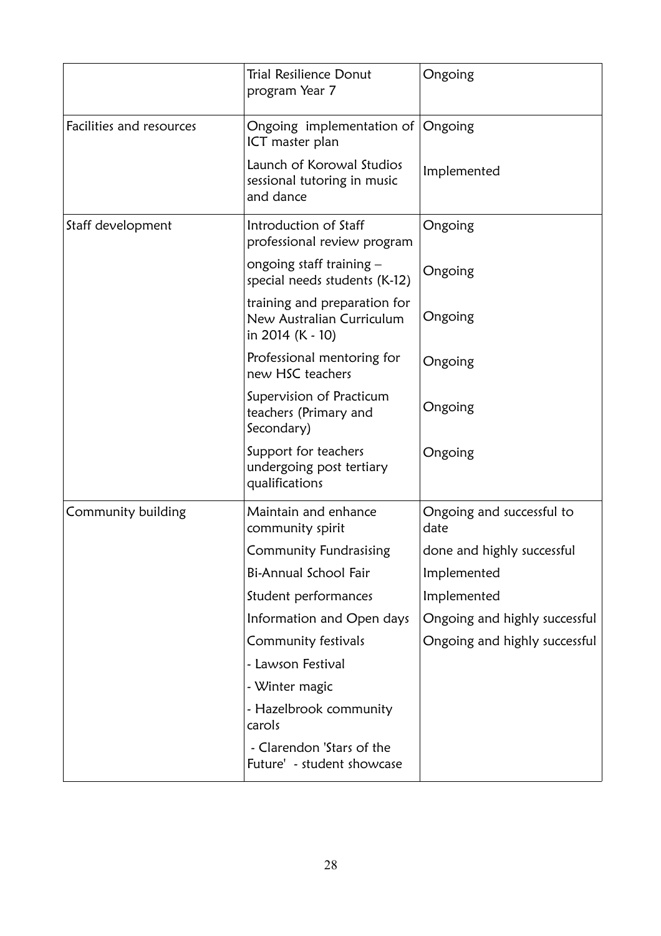|                          | <b>Trial Resilience Donut</b><br>program Year 7                               | Ongoing                           |
|--------------------------|-------------------------------------------------------------------------------|-----------------------------------|
| Facilities and resources | Ongoing implementation of<br>ICT master plan                                  | Ongoing                           |
|                          | Launch of Korowal Studios<br>sessional tutoring in music<br>and dance         | Implemented                       |
| Staff development        | Introduction of Staff<br>professional review program                          | Ongoing                           |
|                          | ongoing staff training $-$<br>special needs students (K-12)                   | Ongoing                           |
|                          | training and preparation for<br>New Australian Curriculum<br>in 2014 (K - 10) | Ongoing                           |
|                          | Professional mentoring for<br>new HSC teachers                                | Ongoing                           |
|                          | Supervision of Practicum<br>teachers (Primary and<br>Secondary)               | Ongoing                           |
|                          | Support for teachers<br>undergoing post tertiary<br>qualifications            | Ongoing                           |
| Community building       | Maintain and enhance<br>community spirit                                      | Ongoing and successful to<br>date |
|                          | Community Fundrasising                                                        | done and highly successful        |
|                          | Bi-Annual School Fair                                                         | Implemented                       |
|                          | Student performances                                                          | Implemented                       |
|                          | Information and Open days                                                     | Ongoing and highly successful     |
|                          | Community festivals                                                           | Ongoing and highly successful     |
|                          | - Lawson Festival                                                             |                                   |
|                          | - Winter magic                                                                |                                   |
|                          | - Hazelbrook community<br>carols                                              |                                   |
|                          | - Clarendon 'Stars of the<br>Future' - student showcase                       |                                   |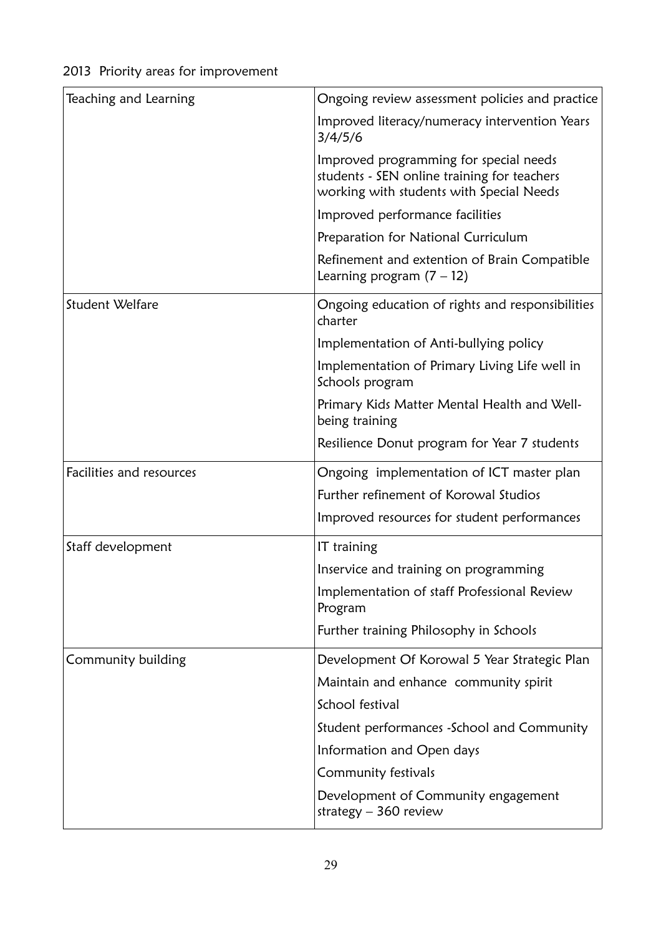| Teaching and Learning    | Ongoing review assessment policies and practice                                                                                   |
|--------------------------|-----------------------------------------------------------------------------------------------------------------------------------|
|                          | Improved literacy/numeracy intervention Years<br>3/4/5/6                                                                          |
|                          | Improved programming for special needs<br>students - SEN online training for teachers<br>working with students with Special Needs |
|                          | Improved performance facilities                                                                                                   |
|                          | Preparation for National Curriculum                                                                                               |
|                          | Refinement and extention of Brain Compatible<br>Learning program $(7 - 12)$                                                       |
| Student Welfare          | Ongoing education of rights and responsibilities<br>charter                                                                       |
|                          | Implementation of Anti-bullying policy                                                                                            |
|                          | Implementation of Primary Living Life well in<br>Schools program                                                                  |
|                          | Primary Kids Matter Mental Health and Well-<br>being training                                                                     |
|                          | Resilience Donut program for Year 7 students                                                                                      |
| Facilities and resources | Ongoing implementation of ICT master plan                                                                                         |
|                          | Further refinement of Korowal Studios                                                                                             |
|                          | Improved resources for student performances                                                                                       |
| Staff development        | IT training                                                                                                                       |
|                          | Inservice and training on programming                                                                                             |
|                          | Implementation of staff Professional Review<br>Program                                                                            |
|                          | Further training Philosophy in Schools                                                                                            |
| Community building       | Development Of Korowal 5 Year Strategic Plan                                                                                      |
|                          | Maintain and enhance community spirit                                                                                             |
|                          | School festival                                                                                                                   |
|                          | Student performances - School and Community                                                                                       |
|                          | Information and Open days                                                                                                         |
|                          | Community festivals                                                                                                               |
|                          | Development of Community engagement<br>strategy $-360$ review                                                                     |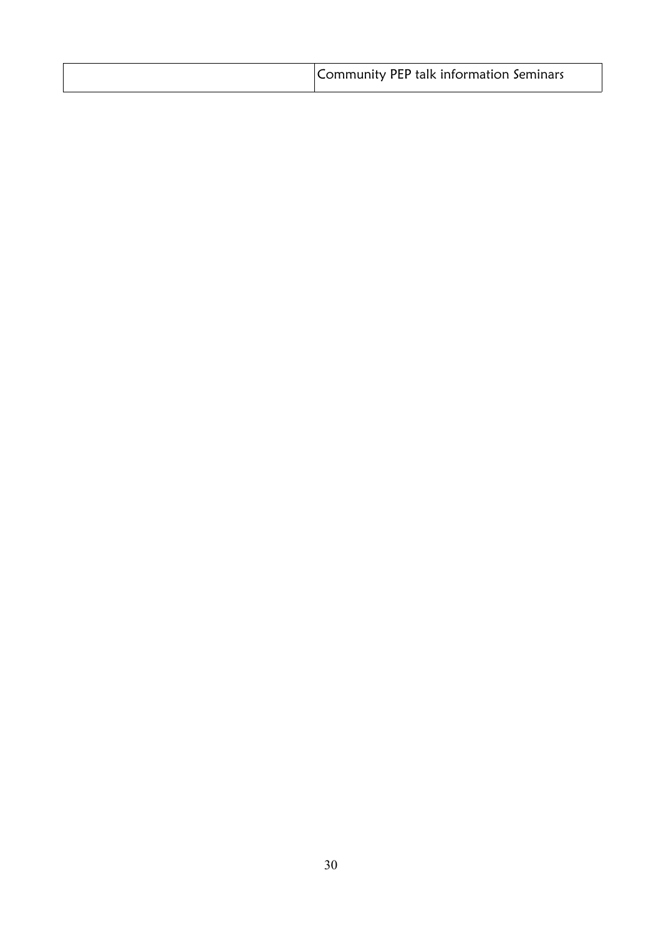| Community PEP talk information Seminars |
|-----------------------------------------|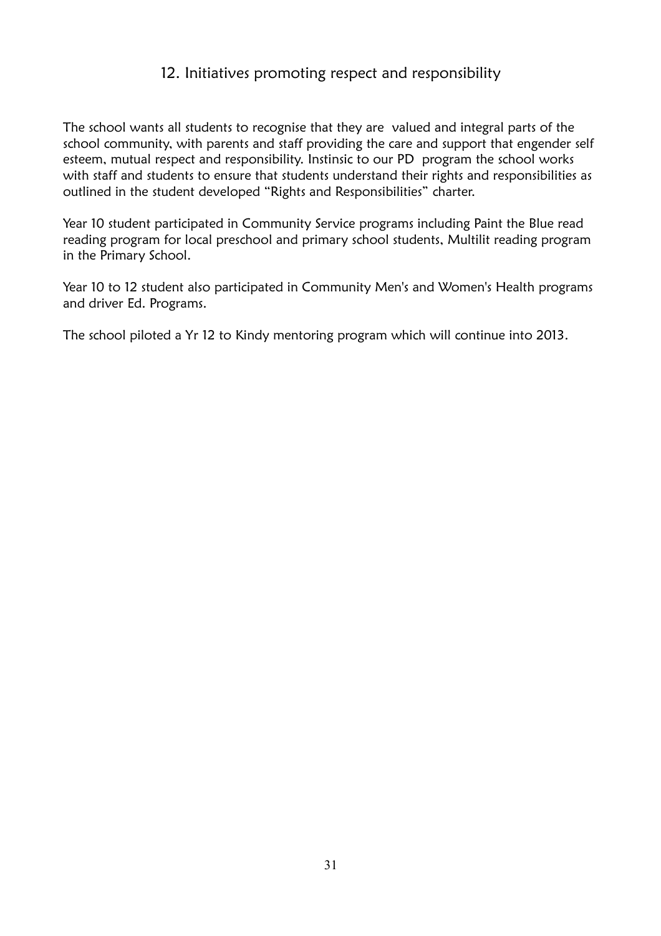# 12. Initiatives promoting respect and responsibility

The school wants all students to recognise that they are valued and integral parts of the school community, with parents and staff providing the care and support that engender self esteem, mutual respect and responsibility. Instinsic to our PD program the school works with staff and students to ensure that students understand their rights and responsibilities as outlined in the student developed "Rights and Responsibilities" charter.

Year 10 student participated in Community Service programs including Paint the Blue read reading program for local preschool and primary school students, Multilit reading program in the Primary School.

Year 10 to 12 student also participated in Community Men's and Women's Health programs and driver Ed. Programs.

The school piloted a Yr 12 to Kindy mentoring program which will continue into 2013.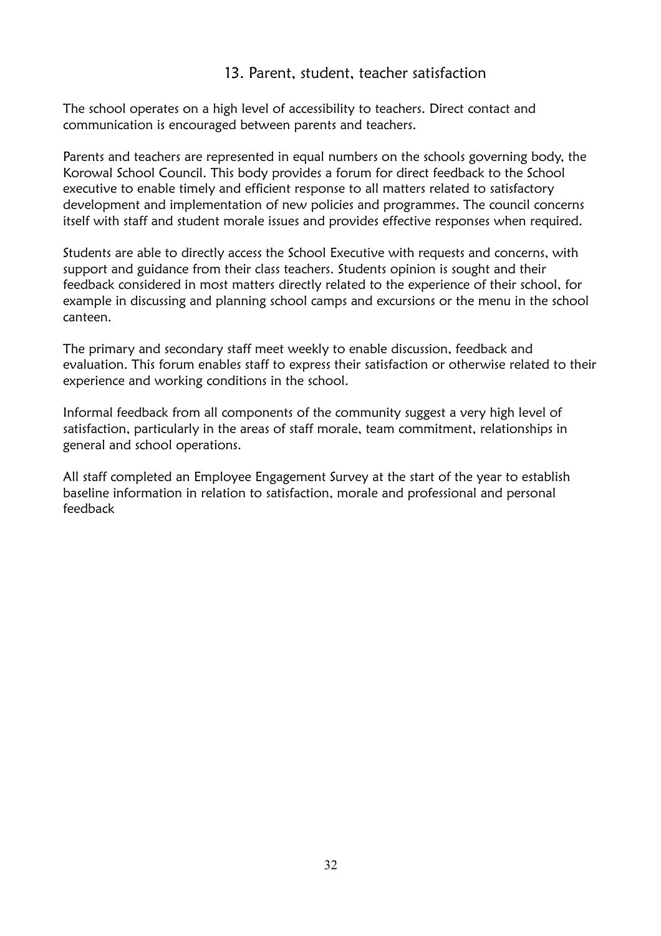### 13. Parent, student, teacher satisfaction

The school operates on a high level of accessibility to teachers. Direct contact and communication is encouraged between parents and teachers.

Parents and teachers are represented in equal numbers on the schools governing body, the Korowal School Council. This body provides a forum for direct feedback to the School executive to enable timely and efficient response to all matters related to satisfactory development and implementation of new policies and programmes. The council concerns itself with staff and student morale issues and provides effective responses when required.

Students are able to directly access the School Executive with requests and concerns, with support and guidance from their class teachers. Students opinion is sought and their feedback considered in most matters directly related to the experience of their school, for example in discussing and planning school camps and excursions or the menu in the school canteen.

The primary and secondary staff meet weekly to enable discussion, feedback and evaluation. This forum enables staff to express their satisfaction or otherwise related to their experience and working conditions in the school.

Informal feedback from all components of the community suggest a very high level of satisfaction, particularly in the areas of staff morale, team commitment, relationships in general and school operations.

All staff completed an Employee Engagement Survey at the start of the year to establish baseline information in relation to satisfaction, morale and professional and personal feedback